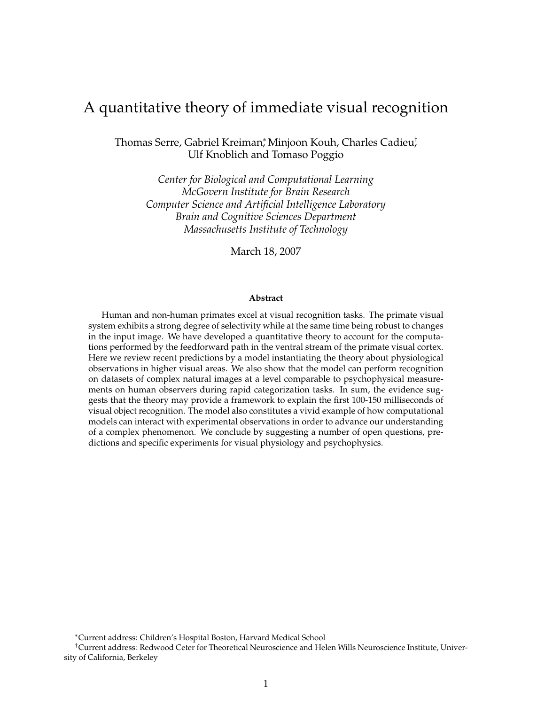# A quantitative theory of immediate visual recognition

Thomas Serre, Gabriel Kreiman, Minjoon Kouh, Charles Cadieu<sup>†</sup>, Ulf Knoblich and Tomaso Poggio

> *Center for Biological and Computational Learning McGovern Institute for Brain Research Computer Science and Artificial Intelligence Laboratory Brain and Cognitive Sciences Department Massachusetts Institute of Technology*

> > March 18, 2007

#### **Abstract**

Human and non-human primates excel at visual recognition tasks. The primate visual system exhibits a strong degree of selectivity while at the same time being robust to changes in the input image. We have developed a quantitative theory to account for the computations performed by the feedforward path in the ventral stream of the primate visual cortex. Here we review recent predictions by a model instantiating the theory about physiological observations in higher visual areas. We also show that the model can perform recognition on datasets of complex natural images at a level comparable to psychophysical measurements on human observers during rapid categorization tasks. In sum, the evidence suggests that the theory may provide a framework to explain the first 100-150 milliseconds of visual object recognition. The model also constitutes a vivid example of how computational models can interact with experimental observations in order to advance our understanding of a complex phenomenon. We conclude by suggesting a number of open questions, predictions and specific experiments for visual physiology and psychophysics.

<sup>∗</sup>Current address: Children's Hospital Boston, Harvard Medical School

<sup>†</sup>Current address: Redwood Ceter for Theoretical Neuroscience and Helen Wills Neuroscience Institute, University of California, Berkeley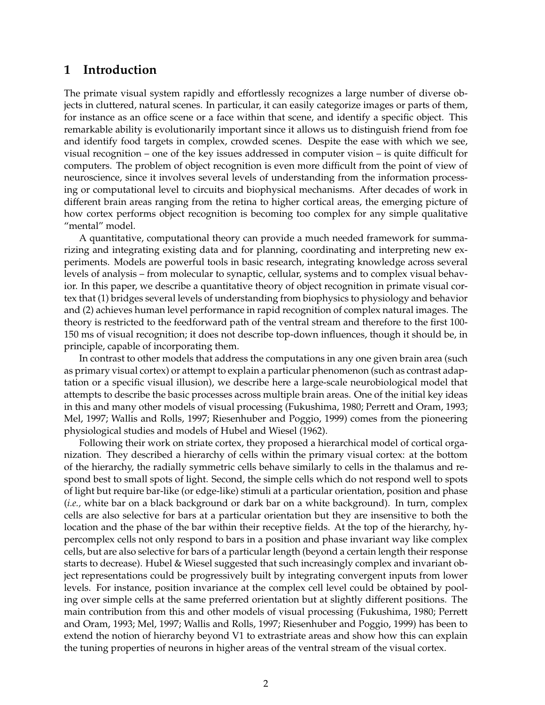## **1 Introduction**

The primate visual system rapidly and effortlessly recognizes a large number of diverse objects in cluttered, natural scenes. In particular, it can easily categorize images or parts of them, for instance as an office scene or a face within that scene, and identify a specific object. This remarkable ability is evolutionarily important since it allows us to distinguish friend from foe and identify food targets in complex, crowded scenes. Despite the ease with which we see, visual recognition – one of the key issues addressed in computer vision – is quite difficult for computers. The problem of object recognition is even more difficult from the point of view of neuroscience, since it involves several levels of understanding from the information processing or computational level to circuits and biophysical mechanisms. After decades of work in different brain areas ranging from the retina to higher cortical areas, the emerging picture of how cortex performs object recognition is becoming too complex for any simple qualitative "mental" model.

A quantitative, computational theory can provide a much needed framework for summarizing and integrating existing data and for planning, coordinating and interpreting new experiments. Models are powerful tools in basic research, integrating knowledge across several levels of analysis – from molecular to synaptic, cellular, systems and to complex visual behavior. In this paper, we describe a quantitative theory of object recognition in primate visual cortex that (1) bridges several levels of understanding from biophysics to physiology and behavior and (2) achieves human level performance in rapid recognition of complex natural images. The theory is restricted to the feedforward path of the ventral stream and therefore to the first 100- 150 ms of visual recognition; it does not describe top-down influences, though it should be, in principle, capable of incorporating them.

In contrast to other models that address the computations in any one given brain area (such as primary visual cortex) or attempt to explain a particular phenomenon (such as contrast adaptation or a specific visual illusion), we describe here a large-scale neurobiological model that attempts to describe the basic processes across multiple brain areas. One of the initial key ideas in this and many other models of visual processing (Fukushima, 1980; Perrett and Oram, 1993; Mel, 1997; Wallis and Rolls, 1997; Riesenhuber and Poggio, 1999) comes from the pioneering physiological studies and models of Hubel and Wiesel (1962).

Following their work on striate cortex, they proposed a hierarchical model of cortical organization. They described a hierarchy of cells within the primary visual cortex: at the bottom of the hierarchy, the radially symmetric cells behave similarly to cells in the thalamus and respond best to small spots of light. Second, the simple cells which do not respond well to spots of light but require bar-like (or edge-like) stimuli at a particular orientation, position and phase (*i.e.,* white bar on a black background or dark bar on a white background). In turn, complex cells are also selective for bars at a particular orientation but they are insensitive to both the location and the phase of the bar within their receptive fields. At the top of the hierarchy, hypercomplex cells not only respond to bars in a position and phase invariant way like complex cells, but are also selective for bars of a particular length (beyond a certain length their response starts to decrease). Hubel & Wiesel suggested that such increasingly complex and invariant object representations could be progressively built by integrating convergent inputs from lower levels. For instance, position invariance at the complex cell level could be obtained by pooling over simple cells at the same preferred orientation but at slightly different positions. The main contribution from this and other models of visual processing (Fukushima, 1980; Perrett and Oram, 1993; Mel, 1997; Wallis and Rolls, 1997; Riesenhuber and Poggio, 1999) has been to extend the notion of hierarchy beyond V1 to extrastriate areas and show how this can explain the tuning properties of neurons in higher areas of the ventral stream of the visual cortex.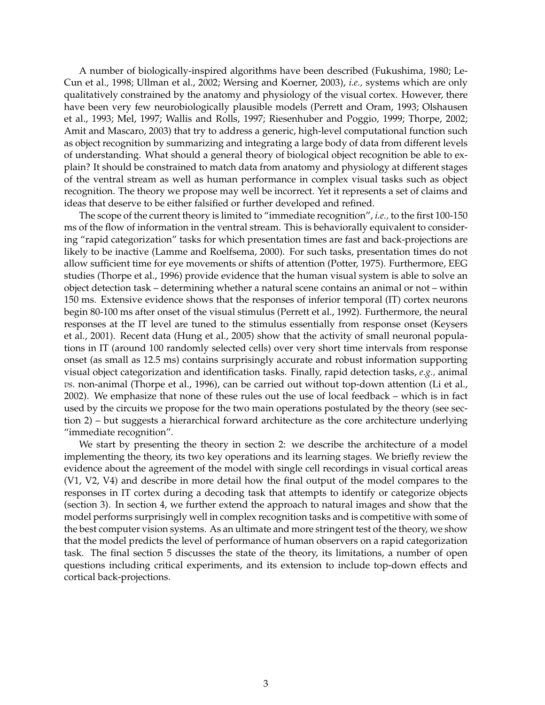A number of biologically-inspired algorithms have been described (Fukushima, 1980; Le-Cun et al., 1998; Ullman et al., 2002; Wersing and Koerner, 2003), *i.e.,* systems which are only qualitatively constrained by the anatomy and physiology of the visual cortex. However, there have been very few neurobiologically plausible models (Perrett and Oram, 1993; Olshausen et al., 1993; Mel, 1997; Wallis and Rolls, 1997; Riesenhuber and Poggio, 1999; Thorpe, 2002; Amit and Mascaro, 2003) that try to address a generic, high-level computational function such as object recognition by summarizing and integrating a large body of data from different levels of understanding. What should a general theory of biological object recognition be able to explain? It should be constrained to match data from anatomy and physiology at different stages of the ventral stream as well as human performance in complex visual tasks such as object recognition. The theory we propose may well be incorrect. Yet it represents a set of claims and ideas that deserve to be either falsified or further developed and refined.

The scope of the current theory is limited to "immediate recognition", *i.e.,* to the first 100-150 ms of the flow of information in the ventral stream. This is behaviorally equivalent to considering "rapid categorization" tasks for which presentation times are fast and back-projections are likely to be inactive (Lamme and Roelfsema, 2000). For such tasks, presentation times do not allow sufficient time for eye movements or shifts of attention (Potter, 1975). Furthermore, EEG studies (Thorpe et al., 1996) provide evidence that the human visual system is able to solve an object detection task – determining whether a natural scene contains an animal or not – within 150 ms. Extensive evidence shows that the responses of inferior temporal (IT) cortex neurons begin 80-100 ms after onset of the visual stimulus (Perrett et al., 1992). Furthermore, the neural responses at the IT level are tuned to the stimulus essentially from response onset (Keysers et al., 2001). Recent data (Hung et al., 2005) show that the activity of small neuronal populations in IT (around 100 randomly selected cells) over very short time intervals from response onset (as small as 12.5 ms) contains surprisingly accurate and robust information supporting visual object categorization and identification tasks. Finally, rapid detection tasks, *e.g.,* animal *vs.* non-animal (Thorpe et al., 1996), can be carried out without top-down attention (Li et al., 2002). We emphasize that none of these rules out the use of local feedback – which is in fact used by the circuits we propose for the two main operations postulated by the theory (see section 2) – but suggests a hierarchical forward architecture as the core architecture underlying "immediate recognition".

We start by presenting the theory in section 2: we describe the architecture of a model implementing the theory, its two key operations and its learning stages. We briefly review the evidence about the agreement of the model with single cell recordings in visual cortical areas (V1, V2, V4) and describe in more detail how the final output of the model compares to the responses in IT cortex during a decoding task that attempts to identify or categorize objects (section 3). In section 4, we further extend the approach to natural images and show that the model performs surprisingly well in complex recognition tasks and is competitive with some of the best computer vision systems. As an ultimate and more stringent test of the theory, we show that the model predicts the level of performance of human observers on a rapid categorization task. The final section 5 discusses the state of the theory, its limitations, a number of open questions including critical experiments, and its extension to include top-down effects and cortical back-projections.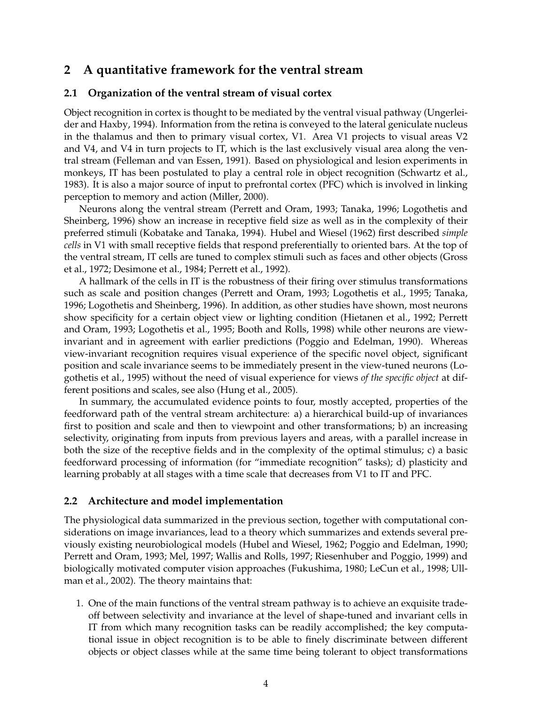## **2 A quantitative framework for the ventral stream**

#### **2.1 Organization of the ventral stream of visual cortex**

Object recognition in cortex is thought to be mediated by the ventral visual pathway (Ungerleider and Haxby, 1994). Information from the retina is conveyed to the lateral geniculate nucleus in the thalamus and then to primary visual cortex, V1. Area V1 projects to visual areas V2 and V4, and V4 in turn projects to IT, which is the last exclusively visual area along the ventral stream (Felleman and van Essen, 1991). Based on physiological and lesion experiments in monkeys, IT has been postulated to play a central role in object recognition (Schwartz et al., 1983). It is also a major source of input to prefrontal cortex (PFC) which is involved in linking perception to memory and action (Miller, 2000).

Neurons along the ventral stream (Perrett and Oram, 1993; Tanaka, 1996; Logothetis and Sheinberg, 1996) show an increase in receptive field size as well as in the complexity of their preferred stimuli (Kobatake and Tanaka, 1994). Hubel and Wiesel (1962) first described *simple cells* in V1 with small receptive fields that respond preferentially to oriented bars. At the top of the ventral stream, IT cells are tuned to complex stimuli such as faces and other objects (Gross et al., 1972; Desimone et al., 1984; Perrett et al., 1992).

A hallmark of the cells in IT is the robustness of their firing over stimulus transformations such as scale and position changes (Perrett and Oram, 1993; Logothetis et al., 1995; Tanaka, 1996; Logothetis and Sheinberg, 1996). In addition, as other studies have shown, most neurons show specificity for a certain object view or lighting condition (Hietanen et al., 1992; Perrett and Oram, 1993; Logothetis et al., 1995; Booth and Rolls, 1998) while other neurons are viewinvariant and in agreement with earlier predictions (Poggio and Edelman, 1990). Whereas view-invariant recognition requires visual experience of the specific novel object, significant position and scale invariance seems to be immediately present in the view-tuned neurons (Logothetis et al., 1995) without the need of visual experience for views *of the specific object* at different positions and scales, see also (Hung et al., 2005).

In summary, the accumulated evidence points to four, mostly accepted, properties of the feedforward path of the ventral stream architecture: a) a hierarchical build-up of invariances first to position and scale and then to viewpoint and other transformations; b) an increasing selectivity, originating from inputs from previous layers and areas, with a parallel increase in both the size of the receptive fields and in the complexity of the optimal stimulus; c) a basic feedforward processing of information (for "immediate recognition" tasks); d) plasticity and learning probably at all stages with a time scale that decreases from V1 to IT and PFC.

#### **2.2 Architecture and model implementation**

The physiological data summarized in the previous section, together with computational considerations on image invariances, lead to a theory which summarizes and extends several previously existing neurobiological models (Hubel and Wiesel, 1962; Poggio and Edelman, 1990; Perrett and Oram, 1993; Mel, 1997; Wallis and Rolls, 1997; Riesenhuber and Poggio, 1999) and biologically motivated computer vision approaches (Fukushima, 1980; LeCun et al., 1998; Ullman et al., 2002). The theory maintains that:

1. One of the main functions of the ventral stream pathway is to achieve an exquisite tradeoff between selectivity and invariance at the level of shape-tuned and invariant cells in IT from which many recognition tasks can be readily accomplished; the key computational issue in object recognition is to be able to finely discriminate between different objects or object classes while at the same time being tolerant to object transformations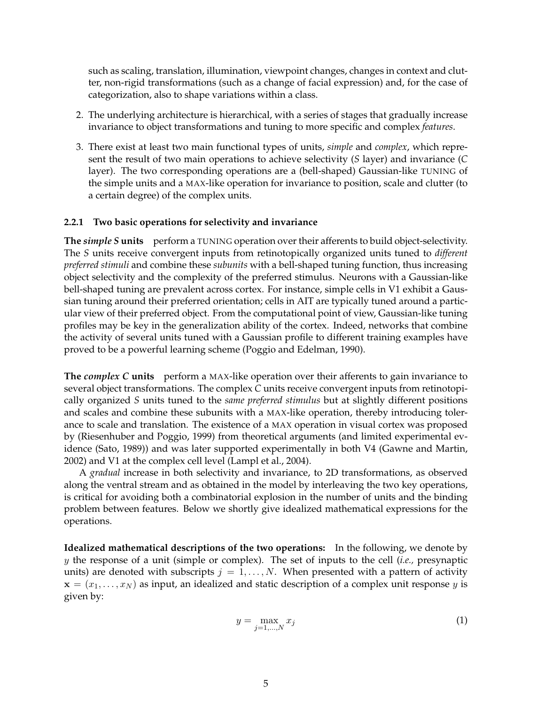such as scaling, translation, illumination, viewpoint changes, changes in context and clutter, non-rigid transformations (such as a change of facial expression) and, for the case of categorization, also to shape variations within a class.

- 2. The underlying architecture is hierarchical, with a series of stages that gradually increase invariance to object transformations and tuning to more specific and complex *features*.
- 3. There exist at least two main functional types of units, *simple* and *complex*, which represent the result of two main operations to achieve selectivity (*S* layer) and invariance (*C* layer). The two corresponding operations are a (bell-shaped) Gaussian-like TUNING of the simple units and a MAX-like operation for invariance to position, scale and clutter (to a certain degree) of the complex units.

#### **2.2.1 Two basic operations for selectivity and invariance**

**The** *simple S* **units** perform a TUNING operation over their afferents to build object-selectivity. The *S* units receive convergent inputs from retinotopically organized units tuned to *different preferred stimuli* and combine these *subunits* with a bell-shaped tuning function, thus increasing object selectivity and the complexity of the preferred stimulus. Neurons with a Gaussian-like bell-shaped tuning are prevalent across cortex. For instance, simple cells in V1 exhibit a Gaussian tuning around their preferred orientation; cells in AIT are typically tuned around a particular view of their preferred object. From the computational point of view, Gaussian-like tuning profiles may be key in the generalization ability of the cortex. Indeed, networks that combine the activity of several units tuned with a Gaussian profile to different training examples have proved to be a powerful learning scheme (Poggio and Edelman, 1990).

**The** *complex C* **units** perform a MAX-like operation over their afferents to gain invariance to several object transformations. The complex *C* units receive convergent inputs from retinotopically organized *S* units tuned to the *same preferred stimulus* but at slightly different positions and scales and combine these subunits with a MAX-like operation, thereby introducing tolerance to scale and translation. The existence of a MAX operation in visual cortex was proposed by (Riesenhuber and Poggio, 1999) from theoretical arguments (and limited experimental evidence (Sato, 1989)) and was later supported experimentally in both V4 (Gawne and Martin, 2002) and V1 at the complex cell level (Lampl et al., 2004).

A *gradual* increase in both selectivity and invariance, to 2D transformations, as observed along the ventral stream and as obtained in the model by interleaving the two key operations, is critical for avoiding both a combinatorial explosion in the number of units and the binding problem between features. Below we shortly give idealized mathematical expressions for the operations.

**Idealized mathematical descriptions of the two operations:** In the following, we denote by y the response of a unit (simple or complex). The set of inputs to the cell (*i.e.,* presynaptic units) are denoted with subscripts  $j = 1, ..., N$ . When presented with a pattern of activity  $\mathbf{x} = (x_1, \dots, x_N)$  as input, an idealized and static description of a complex unit response y is given by:

$$
y = \max_{j=1,\dots,N} x_j \tag{1}
$$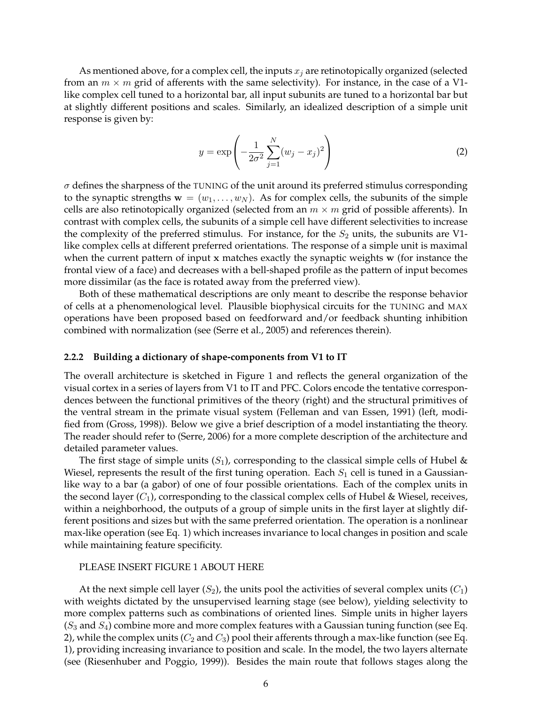As mentioned above, for a complex cell, the inputs  $x_j$  are retinotopically organized (selected from an  $m \times m$  grid of afferents with the same selectivity). For instance, in the case of a V1like complex cell tuned to a horizontal bar, all input subunits are tuned to a horizontal bar but at slightly different positions and scales. Similarly, an idealized description of a simple unit response is given by:

$$
y = \exp\left(-\frac{1}{2\sigma^2} \sum_{j=1}^{N} (w_j - x_j)^2\right)
$$
 (2)

 $\sigma$  defines the sharpness of the TUNING of the unit around its preferred stimulus corresponding to the synaptic strengths  $w = (w_1, \dots, w_N)$ . As for complex cells, the subunits of the simple cells are also retinotopically organized (selected from an  $m \times m$  grid of possible afferents). In contrast with complex cells, the subunits of a simple cell have different selectivities to increase the complexity of the preferred stimulus. For instance, for the  $S_2$  units, the subunits are V1like complex cells at different preferred orientations. The response of a simple unit is maximal when the current pattern of input x matches exactly the synaptic weights w (for instance the frontal view of a face) and decreases with a bell-shaped profile as the pattern of input becomes more dissimilar (as the face is rotated away from the preferred view).

Both of these mathematical descriptions are only meant to describe the response behavior of cells at a phenomenological level. Plausible biophysical circuits for the TUNING and MAX operations have been proposed based on feedforward and/or feedback shunting inhibition combined with normalization (see (Serre et al., 2005) and references therein).

#### **2.2.2 Building a dictionary of shape-components from V1 to IT**

The overall architecture is sketched in Figure 1 and reflects the general organization of the visual cortex in a series of layers from V1 to IT and PFC. Colors encode the tentative correspondences between the functional primitives of the theory (right) and the structural primitives of the ventral stream in the primate visual system (Felleman and van Essen, 1991) (left, modified from (Gross, 1998)). Below we give a brief description of a model instantiating the theory. The reader should refer to (Serre, 2006) for a more complete description of the architecture and detailed parameter values.

The first stage of simple units  $(S_1)$ , corresponding to the classical simple cells of Hubel & Wiesel, represents the result of the first tuning operation. Each  $S_1$  cell is tuned in a Gaussianlike way to a bar (a gabor) of one of four possible orientations. Each of the complex units in the second layer  $(C_1)$ , corresponding to the classical complex cells of Hubel & Wiesel, receives, within a neighborhood, the outputs of a group of simple units in the first layer at slightly different positions and sizes but with the same preferred orientation. The operation is a nonlinear max-like operation (see Eq. 1) which increases invariance to local changes in position and scale while maintaining feature specificity.

#### PLEASE INSERT FIGURE 1 ABOUT HERE

At the next simple cell layer  $(S_2)$ , the units pool the activities of several complex units  $(C_1)$ with weights dictated by the unsupervised learning stage (see below), yielding selectivity to more complex patterns such as combinations of oriented lines. Simple units in higher layers  $(S_3 \text{ and } S_4)$  combine more and more complex features with a Gaussian tuning function (see Eq. 2), while the complex units ( $C_2$  and  $C_3$ ) pool their afferents through a max-like function (see Eq. 1), providing increasing invariance to position and scale. In the model, the two layers alternate (see (Riesenhuber and Poggio, 1999)). Besides the main route that follows stages along the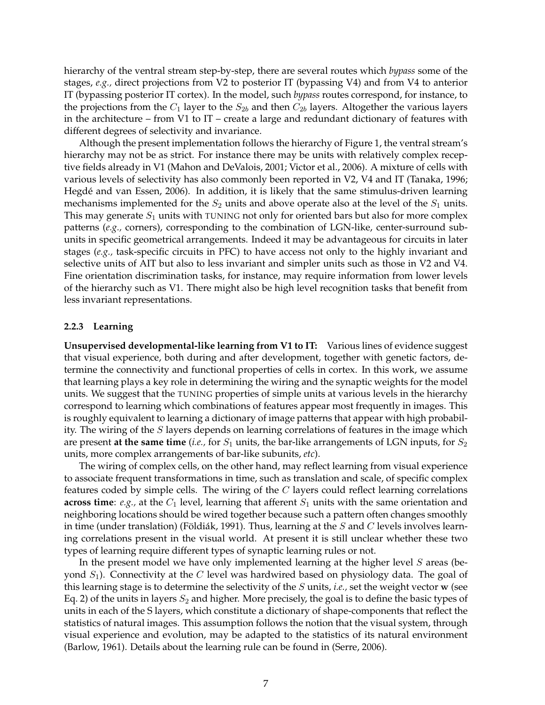hierarchy of the ventral stream step-by-step, there are several routes which *bypass* some of the stages, *e.g.,* direct projections from V2 to posterior IT (bypassing V4) and from V4 to anterior IT (bypassing posterior IT cortex). In the model, such *bypass* routes correspond, for instance, to the projections from the  $C_1$  layer to the  $S_{2b}$  and then  $C_{2b}$  layers. Altogether the various layers in the architecture – from V1 to IT – create a large and redundant dictionary of features with different degrees of selectivity and invariance.

Although the present implementation follows the hierarchy of Figure 1, the ventral stream's hierarchy may not be as strict. For instance there may be units with relatively complex receptive fields already in V1 (Mahon and DeValois, 2001; Victor et al., 2006). A mixture of cells with various levels of selectivity has also commonly been reported in V2, V4 and IT (Tanaka, 1996; Hegdé and van Essen, 2006). In addition, it is likely that the same stimulus-driven learning mechanisms implemented for the  $S_2$  units and above operate also at the level of the  $S_1$  units. This may generate  $S_1$  units with TUNING not only for oriented bars but also for more complex patterns (*e.g.,* corners), corresponding to the combination of LGN-like, center-surround subunits in specific geometrical arrangements. Indeed it may be advantageous for circuits in later stages (*e.g.,* task-specific circuits in PFC) to have access not only to the highly invariant and selective units of AIT but also to less invariant and simpler units such as those in V2 and V4. Fine orientation discrimination tasks, for instance, may require information from lower levels of the hierarchy such as V1. There might also be high level recognition tasks that benefit from less invariant representations.

#### **2.2.3 Learning**

**Unsupervised developmental-like learning from V1 to IT:** Various lines of evidence suggest that visual experience, both during and after development, together with genetic factors, determine the connectivity and functional properties of cells in cortex. In this work, we assume that learning plays a key role in determining the wiring and the synaptic weights for the model units. We suggest that the TUNING properties of simple units at various levels in the hierarchy correspond to learning which combinations of features appear most frequently in images. This is roughly equivalent to learning a dictionary of image patterns that appear with high probability. The wiring of the  $S$  layers depends on learning correlations of features in the image which are present **at the same time** (*i.e.,* for  $S_1$  units, the bar-like arrangements of LGN inputs, for  $S_2$ units, more complex arrangements of bar-like subunits, *etc*).

The wiring of complex cells, on the other hand, may reflect learning from visual experience to associate frequent transformations in time, such as translation and scale, of specific complex features coded by simple cells. The wiring of the C layers could reflect learning correlations **across time**: *e.g.*, at the  $C_1$  level, learning that afferent  $S_1$  units with the same orientation and neighboring locations should be wired together because such a pattern often changes smoothly in time (under translation) (Földiák, 1991). Thus, learning at the  $S$  and  $C$  levels involves learning correlations present in the visual world. At present it is still unclear whether these two types of learning require different types of synaptic learning rules or not.

In the present model we have only implemented learning at the higher level  $S$  areas (beyond  $S_1$ ). Connectivity at the C level was hardwired based on physiology data. The goal of this learning stage is to determine the selectivity of the S units, *i.e.,* set the weight vector w (see Eq. 2) of the units in layers  $S_2$  and higher. More precisely, the goal is to define the basic types of units in each of the S layers, which constitute a dictionary of shape-components that reflect the statistics of natural images. This assumption follows the notion that the visual system, through visual experience and evolution, may be adapted to the statistics of its natural environment (Barlow, 1961). Details about the learning rule can be found in (Serre, 2006).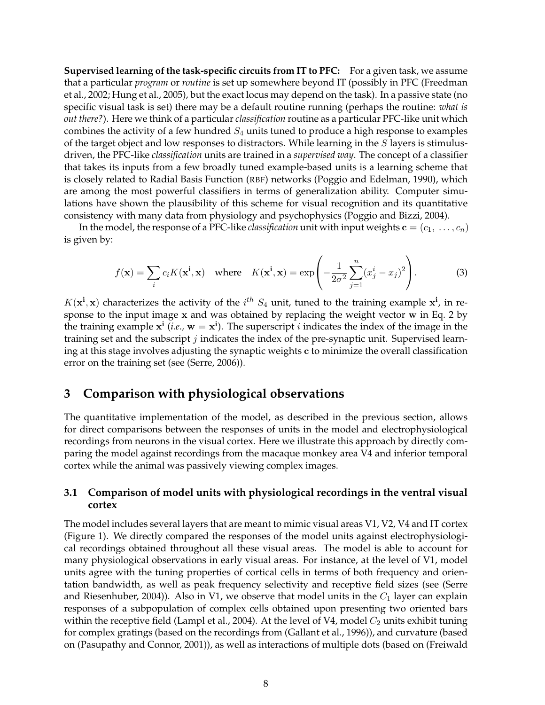**Supervised learning of the task-specific circuits from IT to PFC:** For a given task, we assume that a particular *program* or *routine* is set up somewhere beyond IT (possibly in PFC (Freedman et al., 2002; Hung et al., 2005), but the exact locus may depend on the task). In a passive state (no specific visual task is set) there may be a default routine running (perhaps the routine: *what is out there?*). Here we think of a particular *classification* routine as a particular PFC-like unit which combines the activity of a few hundred  $S_4$  units tuned to produce a high response to examples of the target object and low responses to distractors. While learning in the  $S$  layers is stimulusdriven, the PFC-like *classification* units are trained in a *supervised way*. The concept of a classifier that takes its inputs from a few broadly tuned example-based units is a learning scheme that is closely related to Radial Basis Function (RBF) networks (Poggio and Edelman, 1990), which are among the most powerful classifiers in terms of generalization ability. Computer simulations have shown the plausibility of this scheme for visual recognition and its quantitative consistency with many data from physiology and psychophysics (Poggio and Bizzi, 2004).

In the model, the response of a PFC-like *classification* unit with input weights  $\mathbf{c} = (c_1, \ldots, c_n)$ is given by:

$$
f(\mathbf{x}) = \sum_{i} c_i K(\mathbf{x}^i, \mathbf{x}) \quad \text{where} \quad K(\mathbf{x}^i, \mathbf{x}) = \exp\left(-\frac{1}{2\sigma^2} \sum_{j=1}^n (x_j^i - x_j)^2\right). \tag{3}
$$

 $K(\mathbf{x}^i, \mathbf{x})$  characterizes the activity of the  $i^{th}$   $S_4$  unit, tuned to the training example  $\mathbf{x}^i$ , in response to the input image  $x$  and was obtained by replacing the weight vector  $\bf{w}$  in Eq. 2 by the training example  $x^i$  (*i.e.*,  $w = x^i$ ). The superscript *i* indicates the index of the image in the training set and the subscript  $j$  indicates the index of the pre-synaptic unit. Supervised learning at this stage involves adjusting the synaptic weights c to minimize the overall classification error on the training set (see (Serre, 2006)).

## **3 Comparison with physiological observations**

The quantitative implementation of the model, as described in the previous section, allows for direct comparisons between the responses of units in the model and electrophysiological recordings from neurons in the visual cortex. Here we illustrate this approach by directly comparing the model against recordings from the macaque monkey area V4 and inferior temporal cortex while the animal was passively viewing complex images.

### **3.1 Comparison of model units with physiological recordings in the ventral visual cortex**

The model includes several layers that are meant to mimic visual areas V1, V2, V4 and IT cortex (Figure 1). We directly compared the responses of the model units against electrophysiological recordings obtained throughout all these visual areas. The model is able to account for many physiological observations in early visual areas. For instance, at the level of V1, model units agree with the tuning properties of cortical cells in terms of both frequency and orientation bandwidth, as well as peak frequency selectivity and receptive field sizes (see (Serre and Riesenhuber, 2004)). Also in V1, we observe that model units in the  $C_1$  layer can explain responses of a subpopulation of complex cells obtained upon presenting two oriented bars within the receptive field (Lampl et al., 2004). At the level of V4, model  $C_2$  units exhibit tuning for complex gratings (based on the recordings from (Gallant et al., 1996)), and curvature (based on (Pasupathy and Connor, 2001)), as well as interactions of multiple dots (based on (Freiwald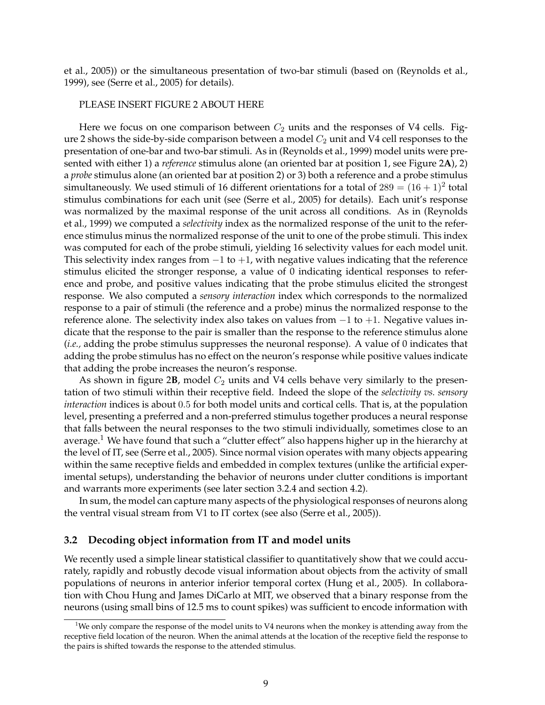et al., 2005)) or the simultaneous presentation of two-bar stimuli (based on (Reynolds et al., 1999), see (Serre et al., 2005) for details).

#### PLEASE INSERT FIGURE 2 ABOUT HERE

Here we focus on one comparison between  $C_2$  units and the responses of V4 cells. Figure 2 shows the side-by-side comparison between a model  $C_2$  unit and V4 cell responses to the presentation of one-bar and two-bar stimuli. As in (Reynolds et al., 1999) model units were presented with either 1) a *reference* stimulus alone (an oriented bar at position 1, see Figure 2**A**), 2) a *probe* stimulus alone (an oriented bar at position 2) or 3) both a reference and a probe stimulus simultaneously. We used stimuli of 16 different orientations for a total of  $289 = (16 + 1)^2$  total stimulus combinations for each unit (see (Serre et al., 2005) for details). Each unit's response was normalized by the maximal response of the unit across all conditions. As in (Reynolds et al., 1999) we computed a *selectivity* index as the normalized response of the unit to the reference stimulus minus the normalized response of the unit to one of the probe stimuli. This index was computed for each of the probe stimuli, yielding 16 selectivity values for each model unit. This selectivity index ranges from  $-1$  to  $+1$ , with negative values indicating that the reference stimulus elicited the stronger response, a value of 0 indicating identical responses to reference and probe, and positive values indicating that the probe stimulus elicited the strongest response. We also computed a *sensory interaction* index which corresponds to the normalized response to a pair of stimuli (the reference and a probe) minus the normalized response to the reference alone. The selectivity index also takes on values from  $-1$  to  $+1$ . Negative values indicate that the response to the pair is smaller than the response to the reference stimulus alone (*i.e.,* adding the probe stimulus suppresses the neuronal response). A value of 0 indicates that adding the probe stimulus has no effect on the neuron's response while positive values indicate that adding the probe increases the neuron's response.

As shown in figure  $2B$ , model  $C_2$  units and V4 cells behave very similarly to the presentation of two stimuli within their receptive field. Indeed the slope of the *selectivity vs. sensory interaction* indices is about 0.5 for both model units and cortical cells. That is, at the population level, presenting a preferred and a non-preferred stimulus together produces a neural response that falls between the neural responses to the two stimuli individually, sometimes close to an average.<sup>1</sup> We have found that such a "clutter effect" also happens higher up in the hierarchy at the level of IT, see (Serre et al., 2005). Since normal vision operates with many objects appearing within the same receptive fields and embedded in complex textures (unlike the artificial experimental setups), understanding the behavior of neurons under clutter conditions is important and warrants more experiments (see later section 3.2.4 and section 4.2).

In sum, the model can capture many aspects of the physiological responses of neurons along the ventral visual stream from V1 to IT cortex (see also (Serre et al., 2005)).

#### **3.2 Decoding object information from IT and model units**

We recently used a simple linear statistical classifier to quantitatively show that we could accurately, rapidly and robustly decode visual information about objects from the activity of small populations of neurons in anterior inferior temporal cortex (Hung et al., 2005). In collaboration with Chou Hung and James DiCarlo at MIT, we observed that a binary response from the neurons (using small bins of 12.5 ms to count spikes) was sufficient to encode information with

<sup>&</sup>lt;sup>1</sup>We only compare the response of the model units to V4 neurons when the monkey is attending away from the receptive field location of the neuron. When the animal attends at the location of the receptive field the response to the pairs is shifted towards the response to the attended stimulus.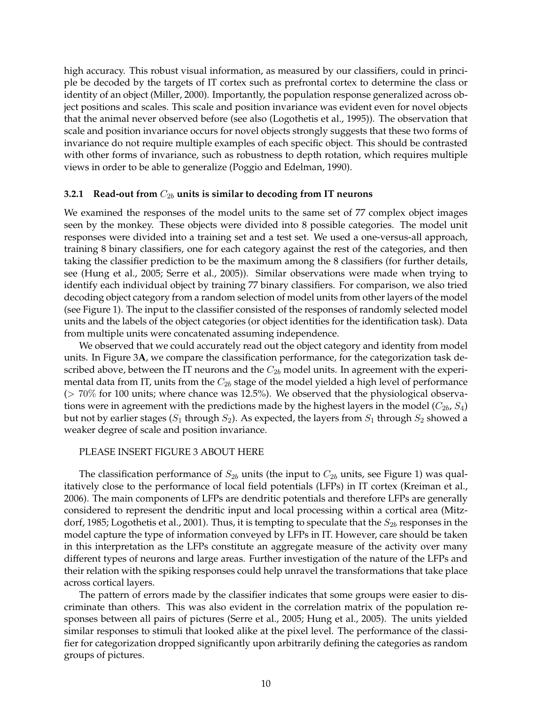high accuracy. This robust visual information, as measured by our classifiers, could in principle be decoded by the targets of IT cortex such as prefrontal cortex to determine the class or identity of an object (Miller, 2000). Importantly, the population response generalized across object positions and scales. This scale and position invariance was evident even for novel objects that the animal never observed before (see also (Logothetis et al., 1995)). The observation that scale and position invariance occurs for novel objects strongly suggests that these two forms of invariance do not require multiple examples of each specific object. This should be contrasted with other forms of invariance, such as robustness to depth rotation, which requires multiple views in order to be able to generalize (Poggio and Edelman, 1990).

#### **3.2.1 Read-out from**  $C_{2b}$  units is similar to decoding from IT neurons

We examined the responses of the model units to the same set of 77 complex object images seen by the monkey. These objects were divided into 8 possible categories. The model unit responses were divided into a training set and a test set. We used a one-versus-all approach, training 8 binary classifiers, one for each category against the rest of the categories, and then taking the classifier prediction to be the maximum among the 8 classifiers (for further details, see (Hung et al., 2005; Serre et al., 2005)). Similar observations were made when trying to identify each individual object by training 77 binary classifiers. For comparison, we also tried decoding object category from a random selection of model units from other layers of the model (see Figure 1). The input to the classifier consisted of the responses of randomly selected model units and the labels of the object categories (or object identities for the identification task). Data from multiple units were concatenated assuming independence.

We observed that we could accurately read out the object category and identity from model units. In Figure 3**A**, we compare the classification performance, for the categorization task described above, between the IT neurons and the  $C_{2b}$  model units. In agreement with the experimental data from IT, units from the  $C_{2b}$  stage of the model yielded a high level of performance  $(> 70\%$  for 100 units; where chance was 12.5%). We observed that the physiological observations were in agreement with the predictions made by the highest layers in the model  $(C_{2b}, S_4)$ but not by earlier stages ( $S_1$  through  $S_2$ ). As expected, the layers from  $S_1$  through  $S_2$  showed a weaker degree of scale and position invariance.

#### PLEASE INSERT FIGURE 3 ABOUT HERE

The classification performance of  $S_{2b}$  units (the input to  $C_{2b}$  units, see Figure 1) was qualitatively close to the performance of local field potentials (LFPs) in IT cortex (Kreiman et al., 2006). The main components of LFPs are dendritic potentials and therefore LFPs are generally considered to represent the dendritic input and local processing within a cortical area (Mitzdorf, 1985; Logothetis et al., 2001). Thus, it is tempting to speculate that the  $S_{2b}$  responses in the model capture the type of information conveyed by LFPs in IT. However, care should be taken in this interpretation as the LFPs constitute an aggregate measure of the activity over many different types of neurons and large areas. Further investigation of the nature of the LFPs and their relation with the spiking responses could help unravel the transformations that take place across cortical layers.

The pattern of errors made by the classifier indicates that some groups were easier to discriminate than others. This was also evident in the correlation matrix of the population responses between all pairs of pictures (Serre et al., 2005; Hung et al., 2005). The units yielded similar responses to stimuli that looked alike at the pixel level. The performance of the classifier for categorization dropped significantly upon arbitrarily defining the categories as random groups of pictures.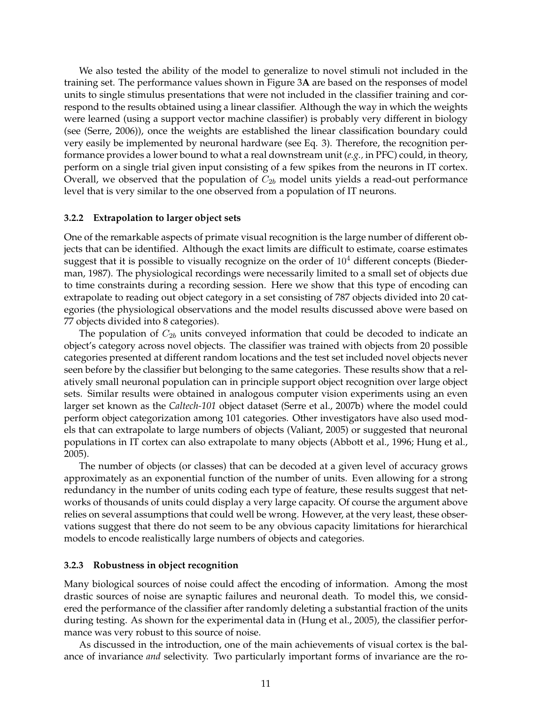We also tested the ability of the model to generalize to novel stimuli not included in the training set. The performance values shown in Figure 3**A** are based on the responses of model units to single stimulus presentations that were not included in the classifier training and correspond to the results obtained using a linear classifier. Although the way in which the weights were learned (using a support vector machine classifier) is probably very different in biology (see (Serre, 2006)), once the weights are established the linear classification boundary could very easily be implemented by neuronal hardware (see Eq. 3). Therefore, the recognition performance provides a lower bound to what a real downstream unit (*e.g.,* in PFC) could, in theory, perform on a single trial given input consisting of a few spikes from the neurons in IT cortex. Overall, we observed that the population of  $C_{2b}$  model units yields a read-out performance level that is very similar to the one observed from a population of IT neurons.

#### **3.2.2 Extrapolation to larger object sets**

One of the remarkable aspects of primate visual recognition is the large number of different objects that can be identified. Although the exact limits are difficult to estimate, coarse estimates suggest that it is possible to visually recognize on the order of  $10<sup>4</sup>$  different concepts (Biederman, 1987). The physiological recordings were necessarily limited to a small set of objects due to time constraints during a recording session. Here we show that this type of encoding can extrapolate to reading out object category in a set consisting of 787 objects divided into 20 categories (the physiological observations and the model results discussed above were based on 77 objects divided into 8 categories).

The population of  $C_{2b}$  units conveyed information that could be decoded to indicate an object's category across novel objects. The classifier was trained with objects from 20 possible categories presented at different random locations and the test set included novel objects never seen before by the classifier but belonging to the same categories. These results show that a relatively small neuronal population can in principle support object recognition over large object sets. Similar results were obtained in analogous computer vision experiments using an even larger set known as the *Caltech-101* object dataset (Serre et al., 2007b) where the model could perform object categorization among 101 categories. Other investigators have also used models that can extrapolate to large numbers of objects (Valiant, 2005) or suggested that neuronal populations in IT cortex can also extrapolate to many objects (Abbott et al., 1996; Hung et al., 2005).

The number of objects (or classes) that can be decoded at a given level of accuracy grows approximately as an exponential function of the number of units. Even allowing for a strong redundancy in the number of units coding each type of feature, these results suggest that networks of thousands of units could display a very large capacity. Of course the argument above relies on several assumptions that could well be wrong. However, at the very least, these observations suggest that there do not seem to be any obvious capacity limitations for hierarchical models to encode realistically large numbers of objects and categories.

#### **3.2.3 Robustness in object recognition**

Many biological sources of noise could affect the encoding of information. Among the most drastic sources of noise are synaptic failures and neuronal death. To model this, we considered the performance of the classifier after randomly deleting a substantial fraction of the units during testing. As shown for the experimental data in (Hung et al., 2005), the classifier performance was very robust to this source of noise.

As discussed in the introduction, one of the main achievements of visual cortex is the balance of invariance *and* selectivity. Two particularly important forms of invariance are the ro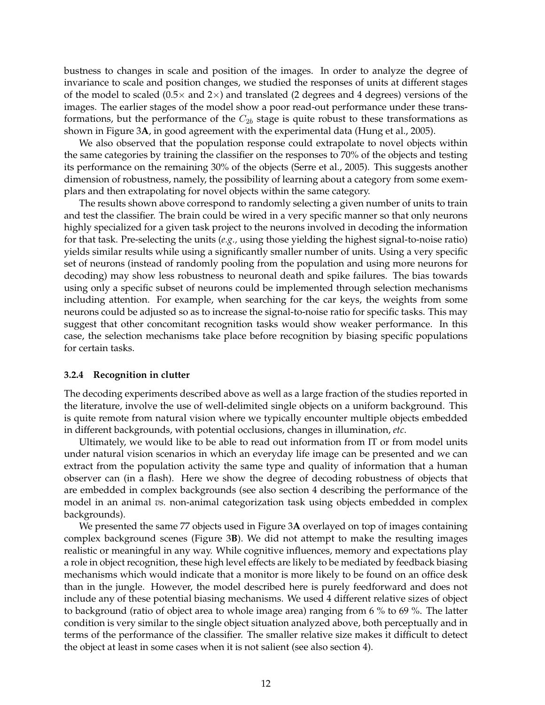bustness to changes in scale and position of the images. In order to analyze the degree of invariance to scale and position changes, we studied the responses of units at different stages of the model to scaled (0.5 $\times$  and  $2\times$ ) and translated (2 degrees and 4 degrees) versions of the images. The earlier stages of the model show a poor read-out performance under these transformations, but the performance of the  $C_{2b}$  stage is quite robust to these transformations as shown in Figure 3**A**, in good agreement with the experimental data (Hung et al., 2005).

We also observed that the population response could extrapolate to novel objects within the same categories by training the classifier on the responses to 70% of the objects and testing its performance on the remaining 30% of the objects (Serre et al., 2005). This suggests another dimension of robustness, namely, the possibility of learning about a category from some exemplars and then extrapolating for novel objects within the same category.

The results shown above correspond to randomly selecting a given number of units to train and test the classifier. The brain could be wired in a very specific manner so that only neurons highly specialized for a given task project to the neurons involved in decoding the information for that task. Pre-selecting the units (*e.g.,* using those yielding the highest signal-to-noise ratio) yields similar results while using a significantly smaller number of units. Using a very specific set of neurons (instead of randomly pooling from the population and using more neurons for decoding) may show less robustness to neuronal death and spike failures. The bias towards using only a specific subset of neurons could be implemented through selection mechanisms including attention. For example, when searching for the car keys, the weights from some neurons could be adjusted so as to increase the signal-to-noise ratio for specific tasks. This may suggest that other concomitant recognition tasks would show weaker performance. In this case, the selection mechanisms take place before recognition by biasing specific populations for certain tasks.

#### **3.2.4 Recognition in clutter**

The decoding experiments described above as well as a large fraction of the studies reported in the literature, involve the use of well-delimited single objects on a uniform background. This is quite remote from natural vision where we typically encounter multiple objects embedded in different backgrounds, with potential occlusions, changes in illumination, *etc*.

Ultimately, we would like to be able to read out information from IT or from model units under natural vision scenarios in which an everyday life image can be presented and we can extract from the population activity the same type and quality of information that a human observer can (in a flash). Here we show the degree of decoding robustness of objects that are embedded in complex backgrounds (see also section 4 describing the performance of the model in an animal *vs.* non-animal categorization task using objects embedded in complex backgrounds).

We presented the same 77 objects used in Figure 3**A** overlayed on top of images containing complex background scenes (Figure 3**B**). We did not attempt to make the resulting images realistic or meaningful in any way. While cognitive influences, memory and expectations play a role in object recognition, these high level effects are likely to be mediated by feedback biasing mechanisms which would indicate that a monitor is more likely to be found on an office desk than in the jungle. However, the model described here is purely feedforward and does not include any of these potential biasing mechanisms. We used 4 different relative sizes of object to background (ratio of object area to whole image area) ranging from 6 % to 69 %. The latter condition is very similar to the single object situation analyzed above, both perceptually and in terms of the performance of the classifier. The smaller relative size makes it difficult to detect the object at least in some cases when it is not salient (see also section 4).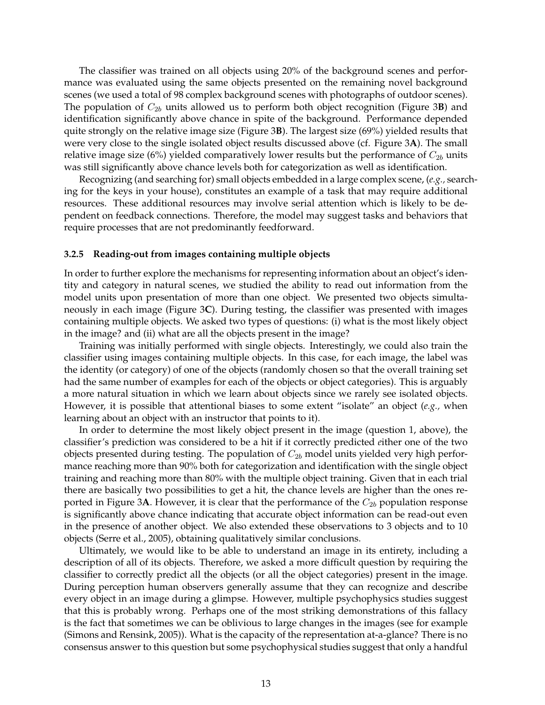The classifier was trained on all objects using 20% of the background scenes and performance was evaluated using the same objects presented on the remaining novel background scenes (we used a total of 98 complex background scenes with photographs of outdoor scenes). The population of  $C_{2b}$  units allowed us to perform both object recognition (Figure 3**B**) and identification significantly above chance in spite of the background. Performance depended quite strongly on the relative image size (Figure 3**B**). The largest size (69%) yielded results that were very close to the single isolated object results discussed above (cf. Figure 3**A**). The small relative image size (6%) yielded comparatively lower results but the performance of  $C_{2b}$  units was still significantly above chance levels both for categorization as well as identification.

Recognizing (and searching for) small objects embedded in a large complex scene, (*e.g.,* searching for the keys in your house), constitutes an example of a task that may require additional resources. These additional resources may involve serial attention which is likely to be dependent on feedback connections. Therefore, the model may suggest tasks and behaviors that require processes that are not predominantly feedforward.

#### **3.2.5 Reading-out from images containing multiple objects**

In order to further explore the mechanisms for representing information about an object's identity and category in natural scenes, we studied the ability to read out information from the model units upon presentation of more than one object. We presented two objects simultaneously in each image (Figure 3**C**). During testing, the classifier was presented with images containing multiple objects. We asked two types of questions: (i) what is the most likely object in the image? and (ii) what are all the objects present in the image?

Training was initially performed with single objects. Interestingly, we could also train the classifier using images containing multiple objects. In this case, for each image, the label was the identity (or category) of one of the objects (randomly chosen so that the overall training set had the same number of examples for each of the objects or object categories). This is arguably a more natural situation in which we learn about objects since we rarely see isolated objects. However, it is possible that attentional biases to some extent "isolate" an object (*e.g.,* when learning about an object with an instructor that points to it).

In order to determine the most likely object present in the image (question 1, above), the classifier's prediction was considered to be a hit if it correctly predicted *e*ither one of the two objects presented during testing. The population of  $C_{2b}$  model units yielded very high performance reaching more than 90% both for categorization and identification with the single object training and reaching more than 80% with the multiple object training. Given that in each trial there are basically two possibilities to get a hit, the chance levels are higher than the ones reported in Figure 3A. However, it is clear that the performance of the  $C_{2b}$  population response is significantly above chance indicating that accurate object information can be read-out even in the presence of another object. We also extended these observations to 3 objects and to 10 objects (Serre et al., 2005), obtaining qualitatively similar conclusions.

Ultimately, we would like to be able to understand an image in its entirety, including a description of all of its objects. Therefore, we asked a more difficult question by requiring the classifier to correctly predict all the objects (or all the object categories) present in the image. During perception human observers generally assume that they can recognize and describe every object in an image during a glimpse. However, multiple psychophysics studies suggest that this is probably wrong. Perhaps one of the most striking demonstrations of this fallacy is the fact that sometimes we can be oblivious to large changes in the images (see for example (Simons and Rensink, 2005)). What is the capacity of the representation at-a-glance? There is no consensus answer to this question but some psychophysical studies suggest that only a handful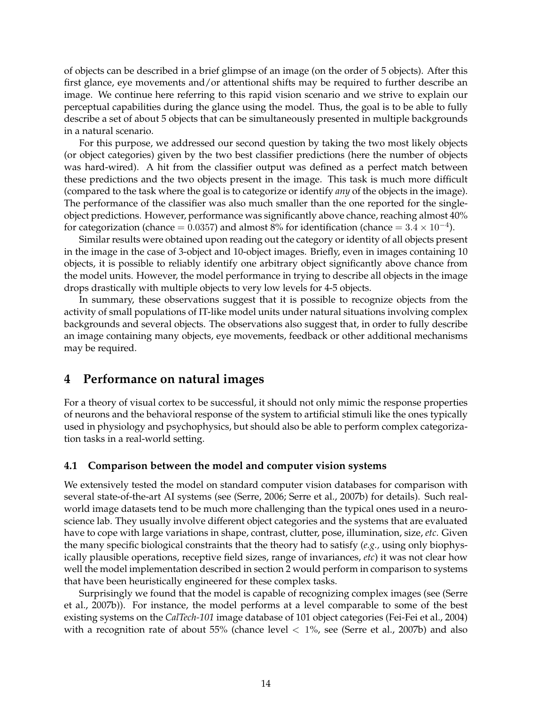of objects can be described in a brief glimpse of an image (on the order of 5 objects). After this first glance, eye movements and/or attentional shifts may be required to further describe an image. We continue here referring to this rapid vision scenario and we strive to explain our perceptual capabilities during the glance using the model. Thus, the goal is to be able to fully describe a set of about 5 objects that can be simultaneously presented in multiple backgrounds in a natural scenario.

For this purpose, we addressed our second question by taking the two most likely objects (or object categories) given by the two best classifier predictions (here the number of objects was hard-wired). A hit from the classifier output was defined as a perfect match between these predictions and the two objects present in the image. This task is much more difficult (compared to the task where the goal is to categorize or identify *any* of the objects in the image). The performance of the classifier was also much smaller than the one reported for the singleobject predictions. However, performance was significantly above chance, reaching almost 40% for categorization (chance =  $0.0357$ ) and almost  $8\%$  for identification (chance =  $3.4 \times 10^{-4}$ ).

Similar results were obtained upon reading out the category or identity of all objects present in the image in the case of 3-object and 10-object images. Briefly, even in images containing 10 objects, it is possible to reliably identify one arbitrary object significantly above chance from the model units. However, the model performance in trying to describe all objects in the image drops drastically with multiple objects to very low levels for 4-5 objects.

In summary, these observations suggest that it is possible to recognize objects from the activity of small populations of IT-like model units under natural situations involving complex backgrounds and several objects. The observations also suggest that, in order to fully describe an image containing many objects, eye movements, feedback or other additional mechanisms may be required.

## **4 Performance on natural images**

For a theory of visual cortex to be successful, it should not only mimic the response properties of neurons and the behavioral response of the system to artificial stimuli like the ones typically used in physiology and psychophysics, but should also be able to perform complex categorization tasks in a real-world setting.

#### **4.1 Comparison between the model and computer vision systems**

We extensively tested the model on standard computer vision databases for comparison with several state-of-the-art AI systems (see (Serre, 2006; Serre et al., 2007b) for details). Such realworld image datasets tend to be much more challenging than the typical ones used in a neuroscience lab. They usually involve different object categories and the systems that are evaluated have to cope with large variations in shape, contrast, clutter, pose, illumination, size, *etc*. Given the many specific biological constraints that the theory had to satisfy (*e.g.,* using only biophysically plausible operations, receptive field sizes, range of invariances, *etc*) it was not clear how well the model implementation described in section 2 would perform in comparison to systems that have been heuristically engineered for these complex tasks.

Surprisingly we found that the model is capable of recognizing complex images (see (Serre et al., 2007b)). For instance, the model performs at a level comparable to some of the best existing systems on the *CalTech-101* image database of 101 object categories (Fei-Fei et al., 2004) with a recognition rate of about 55% (chance level  $<$  1%, see (Serre et al., 2007b) and also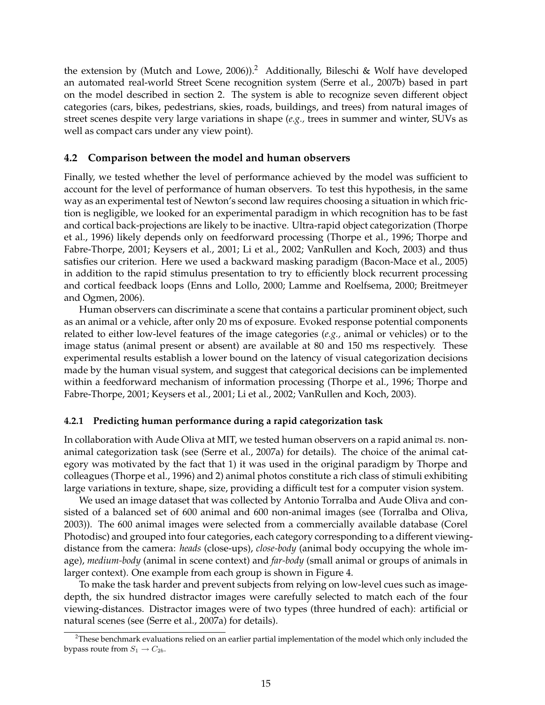the extension by (Mutch and Lowe, 2006)).<sup>2</sup> Additionally, Bileschi & Wolf have developed an automated real-world Street Scene recognition system (Serre et al., 2007b) based in part on the model described in section 2. The system is able to recognize seven different object categories (cars, bikes, pedestrians, skies, roads, buildings, and trees) from natural images of street scenes despite very large variations in shape (*e.g.,* trees in summer and winter, SUVs as well as compact cars under any view point).

#### **4.2 Comparison between the model and human observers**

Finally, we tested whether the level of performance achieved by the model was sufficient to account for the level of performance of human observers. To test this hypothesis, in the same way as an experimental test of Newton's second law requires choosing a situation in which friction is negligible, we looked for an experimental paradigm in which recognition has to be fast and cortical back-projections are likely to be inactive. Ultra-rapid object categorization (Thorpe et al., 1996) likely depends only on feedforward processing (Thorpe et al., 1996; Thorpe and Fabre-Thorpe, 2001; Keysers et al., 2001; Li et al., 2002; VanRullen and Koch, 2003) and thus satisfies our criterion. Here we used a backward masking paradigm (Bacon-Mace et al., 2005) in addition to the rapid stimulus presentation to try to efficiently block recurrent processing and cortical feedback loops (Enns and Lollo, 2000; Lamme and Roelfsema, 2000; Breitmeyer and Ogmen, 2006).

Human observers can discriminate a scene that contains a particular prominent object, such as an animal or a vehicle, after only 20 ms of exposure. Evoked response potential components related to either low-level features of the image categories (*e.g.,* animal or vehicles) or to the image status (animal present or absent) are available at 80 and 150 ms respectively. These experimental results establish a lower bound on the latency of visual categorization decisions made by the human visual system, and suggest that categorical decisions can be implemented within a feedforward mechanism of information processing (Thorpe et al., 1996; Thorpe and Fabre-Thorpe, 2001; Keysers et al., 2001; Li et al., 2002; VanRullen and Koch, 2003).

#### **4.2.1 Predicting human performance during a rapid categorization task**

In collaboration with Aude Oliva at MIT, we tested human observers on a rapid animal *vs.* nonanimal categorization task (see (Serre et al., 2007a) for details). The choice of the animal category was motivated by the fact that 1) it was used in the original paradigm by Thorpe and colleagues (Thorpe et al., 1996) and 2) animal photos constitute a rich class of stimuli exhibiting large variations in texture, shape, size, providing a difficult test for a computer vision system.

We used an image dataset that was collected by Antonio Torralba and Aude Oliva and consisted of a balanced set of 600 animal and 600 non-animal images (see (Torralba and Oliva, 2003)). The 600 animal images were selected from a commercially available database (Corel Photodisc) and grouped into four categories, each category corresponding to a different viewingdistance from the camera: *heads* (close-ups), *close-body* (animal body occupying the whole image), *medium-body* (animal in scene context) and *far-body* (small animal or groups of animals in larger context). One example from each group is shown in Figure 4.

To make the task harder and prevent subjects from relying on low-level cues such as imagedepth, the six hundred distractor images were carefully selected to match each of the four viewing-distances. Distractor images were of two types (three hundred of each): artificial or natural scenes (see (Serre et al., 2007a) for details).

 $2$ These benchmark evaluations relied on an earlier partial implementation of the model which only included the bypass route from  $S_1 \rightarrow C_{2b}$ .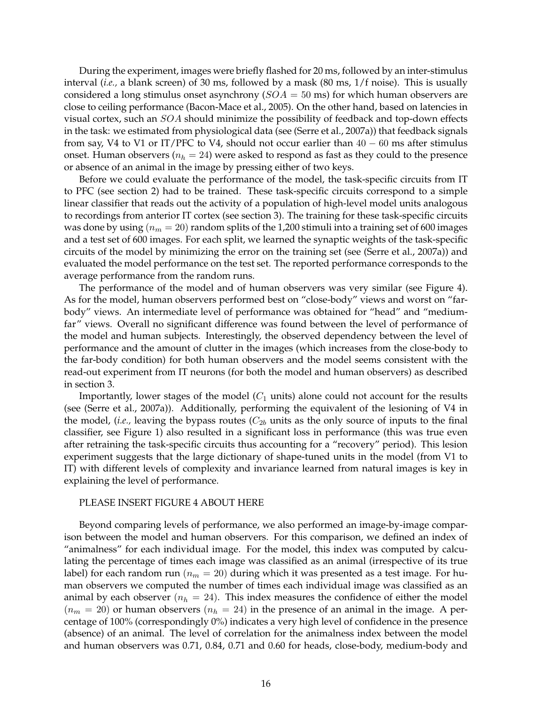During the experiment, images were briefly flashed for 20 ms, followed by an inter-stimulus interval (*i.e.,* a blank screen) of 30 ms, followed by a mask (80 ms, 1/f noise). This is usually considered a long stimulus onset asynchrony ( $SOA = 50$  ms) for which human observers are close to ceiling performance (Bacon-Mace et al., 2005). On the other hand, based on latencies in visual cortex, such an SOA should minimize the possibility of feedback and top-down effects in the task: we estimated from physiological data (see (Serre et al., 2007a)) that feedback signals from say, V4 to V1 or IT/PFC to V4, should not occur earlier than  $40 - 60$  ms after stimulus onset. Human observers ( $n_h = 24$ ) were asked to respond as fast as they could to the presence or absence of an animal in the image by pressing either of two keys.

Before we could evaluate the performance of the model, the task-specific circuits from IT to PFC (see section 2) had to be trained. These task-specific circuits correspond to a simple linear classifier that reads out the activity of a population of high-level model units analogous to recordings from anterior IT cortex (see section 3). The training for these task-specific circuits was done by using ( $n_m = 20$ ) random splits of the 1,200 stimuli into a training set of 600 images and a test set of 600 images. For each split, we learned the synaptic weights of the task-specific circuits of the model by minimizing the error on the training set (see (Serre et al., 2007a)) and evaluated the model performance on the test set. The reported performance corresponds to the average performance from the random runs.

The performance of the model and of human observers was very similar (see Figure 4). As for the model, human observers performed best on "close-body" views and worst on "farbody" views. An intermediate level of performance was obtained for "head" and "mediumfar" views. Overall no significant difference was found between the level of performance of the model and human subjects. Interestingly, the observed dependency between the level of performance and the amount of clutter in the images (which increases from the close-body to the far-body condition) for both human observers and the model seems consistent with the read-out experiment from IT neurons (for both the model and human observers) as described in section 3.

Importantly, lower stages of the model  $(C_1$  units) alone could not account for the results (see (Serre et al., 2007a)). Additionally, performing the equivalent of the lesioning of V4 in the model, (*i.e.*, leaving the bypass routes  $(C_{2b}$  units as the only source of inputs to the final classifier, see Figure 1) also resulted in a significant loss in performance (this was true even after retraining the task-specific circuits thus accounting for a "recovery" period). This lesion experiment suggests that the large dictionary of shape-tuned units in the model (from V1 to IT) with different levels of complexity and invariance learned from natural images is key in explaining the level of performance.

#### PLEASE INSERT FIGURE 4 ABOUT HERE

Beyond comparing levels of performance, we also performed an image-by-image comparison between the model and human observers. For this comparison, we defined an index of "animalness" for each individual image. For the model, this index was computed by calculating the percentage of times each image was classified as an animal (irrespective of its true label) for each random run ( $n_m = 20$ ) during which it was presented as a test image. For human observers we computed the number of times each individual image was classified as an animal by each observer  $(n_h = 24)$ . This index measures the confidence of either the model  $(n_m = 20)$  or human observers  $(n_h = 24)$  in the presence of an animal in the image. A percentage of 100% (correspondingly 0%) indicates a very high level of confidence in the presence (absence) of an animal. The level of correlation for the animalness index between the model and human observers was 0.71, 0.84, 0.71 and 0.60 for heads, close-body, medium-body and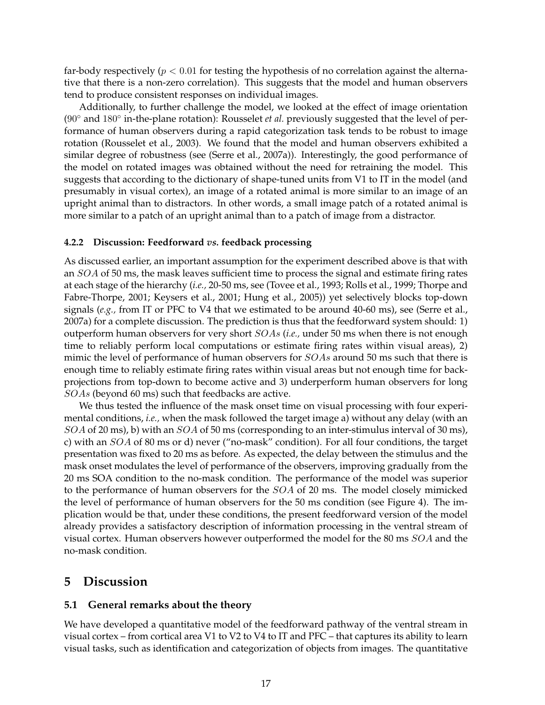far-body respectively ( $p < 0.01$  for testing the hypothesis of no correlation against the alternative that there is a non-zero correlation). This suggests that the model and human observers tend to produce consistent responses on individual images.

Additionally, to further challenge the model, we looked at the effect of image orientation (90◦ and 180◦ in-the-plane rotation): Rousselet *et al.* previously suggested that the level of performance of human observers during a rapid categorization task tends to be robust to image rotation (Rousselet et al., 2003). We found that the model and human observers exhibited a similar degree of robustness (see (Serre et al., 2007a)). Interestingly, the good performance of the model on rotated images was obtained without the need for retraining the model. This suggests that according to the dictionary of shape-tuned units from V1 to IT in the model (and presumably in visual cortex), an image of a rotated animal is more similar to an image of an upright animal than to distractors. In other words, a small image patch of a rotated animal is more similar to a patch of an upright animal than to a patch of image from a distractor.

#### **4.2.2 Discussion: Feedforward** *vs.* **feedback processing**

As discussed earlier, an important assumption for the experiment described above is that with an SOA of 50 ms, the mask leaves sufficient time to process the signal and estimate firing rates at each stage of the hierarchy (*i.e.,* 20-50 ms, see (Tovee et al., 1993; Rolls et al., 1999; Thorpe and Fabre-Thorpe, 2001; Keysers et al., 2001; Hung et al., 2005)) yet selectively blocks top-down signals (*e.g.,* from IT or PFC to V4 that we estimated to be around 40-60 ms), see (Serre et al., 2007a) for a complete discussion. The prediction is thus that the feedforward system should: 1) outperform human observers for very short SOAs (*i.e.,* under 50 ms when there is not enough time to reliably perform local computations or estimate firing rates within visual areas), 2) mimic the level of performance of human observers for  $SOAs$  around 50 ms such that there is enough time to reliably estimate firing rates within visual areas but not enough time for backprojections from top-down to become active and 3) underperform human observers for long SOAs (beyond 60 ms) such that feedbacks are active.

We thus tested the influence of the mask onset time on visual processing with four experimental conditions, *i.e.,* when the mask followed the target image a) without any delay (with an SOA of 20 ms), b) with an SOA of 50 ms (corresponding to an inter-stimulus interval of 30 ms), c) with an SOA of 80 ms or d) never ("no-mask" condition). For all four conditions, the target presentation was fixed to 20 ms as before. As expected, the delay between the stimulus and the mask onset modulates the level of performance of the observers, improving gradually from the 20 ms SOA condition to the no-mask condition. The performance of the model was superior to the performance of human observers for the SOA of 20 ms. The model closely mimicked the level of performance of human observers for the 50 ms condition (see Figure 4). The implication would be that, under these conditions, the present feedforward version of the model already provides a satisfactory description of information processing in the ventral stream of visual cortex. Human observers however outperformed the model for the 80 ms SOA and the no-mask condition.

## **5 Discussion**

#### **5.1 General remarks about the theory**

We have developed a quantitative model of the feedforward pathway of the ventral stream in visual cortex – from cortical area V1 to V2 to V4 to IT and PFC – that captures its ability to learn visual tasks, such as identification and categorization of objects from images. The quantitative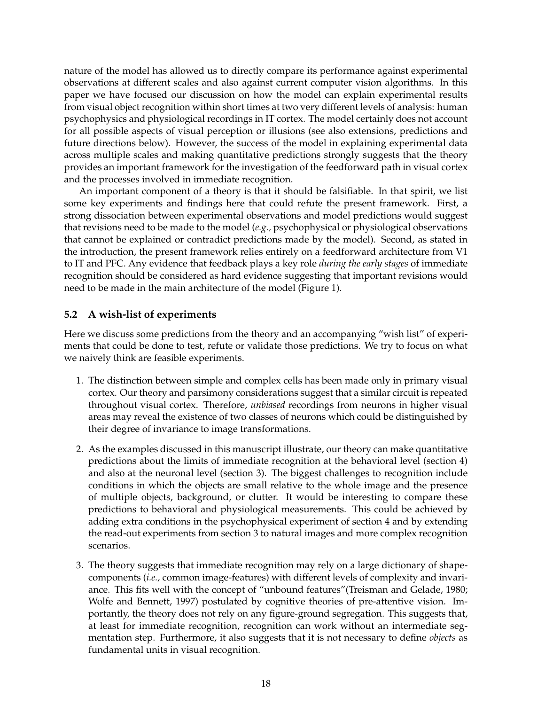nature of the model has allowed us to directly compare its performance against experimental observations at different scales and also against current computer vision algorithms. In this paper we have focused our discussion on how the model can explain experimental results from visual object recognition within short times at two very different levels of analysis: human psychophysics and physiological recordings in IT cortex. The model certainly does not account for all possible aspects of visual perception or illusions (see also extensions, predictions and future directions below). However, the success of the model in explaining experimental data across multiple scales and making quantitative predictions strongly suggests that the theory provides an important framework for the investigation of the feedforward path in visual cortex and the processes involved in immediate recognition.

An important component of a theory is that it should be falsifiable. In that spirit, we list some key experiments and findings here that could refute the present framework. First, a strong dissociation between experimental observations and model predictions would suggest that revisions need to be made to the model (*e.g.,* psychophysical or physiological observations that cannot be explained or contradict predictions made by the model). Second, as stated in the introduction, the present framework relies entirely on a feedforward architecture from V1 to IT and PFC. Any evidence that feedback plays a key role *during the early stages* of immediate recognition should be considered as hard evidence suggesting that important revisions would need to be made in the main architecture of the model (Figure 1).

### **5.2 A wish-list of experiments**

Here we discuss some predictions from the theory and an accompanying "wish list" of experiments that could be done to test, refute or validate those predictions. We try to focus on what we naively think are feasible experiments.

- 1. The distinction between simple and complex cells has been made only in primary visual cortex. Our theory and parsimony considerations suggest that a similar circuit is repeated throughout visual cortex. Therefore, *unbiased* recordings from neurons in higher visual areas may reveal the existence of two classes of neurons which could be distinguished by their degree of invariance to image transformations.
- 2. As the examples discussed in this manuscript illustrate, our theory can make quantitative predictions about the limits of immediate recognition at the behavioral level (section 4) and also at the neuronal level (section 3). The biggest challenges to recognition include conditions in which the objects are small relative to the whole image and the presence of multiple objects, background, or clutter. It would be interesting to compare these predictions to behavioral and physiological measurements. This could be achieved by adding extra conditions in the psychophysical experiment of section 4 and by extending the read-out experiments from section 3 to natural images and more complex recognition scenarios.
- 3. The theory suggests that immediate recognition may rely on a large dictionary of shapecomponents (*i.e.,* common image-features) with different levels of complexity and invariance. This fits well with the concept of "unbound features"(Treisman and Gelade, 1980; Wolfe and Bennett, 1997) postulated by cognitive theories of pre-attentive vision. Importantly, the theory does not rely on any figure-ground segregation. This suggests that, at least for immediate recognition, recognition can work without an intermediate segmentation step. Furthermore, it also suggests that it is not necessary to define *objects* as fundamental units in visual recognition.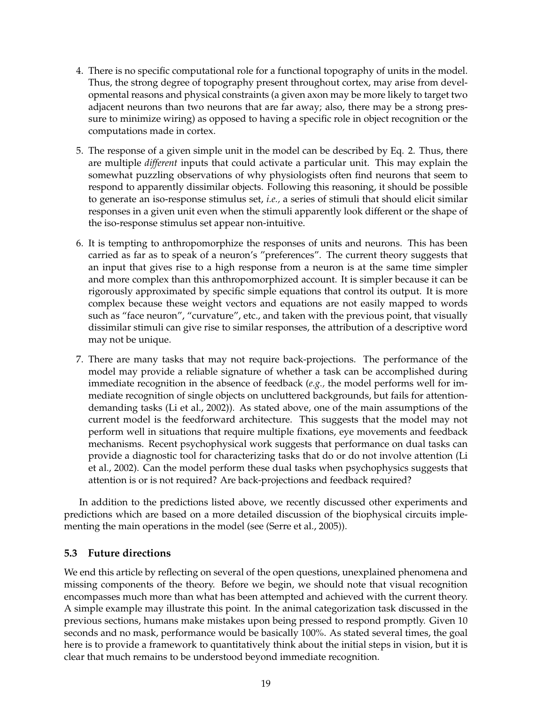- 4. There is no specific computational role for a functional topography of units in the model. Thus, the strong degree of topography present throughout cortex, may arise from developmental reasons and physical constraints (a given axon may be more likely to target two adjacent neurons than two neurons that are far away; also, there may be a strong pressure to minimize wiring) as opposed to having a specific role in object recognition or the computations made in cortex.
- 5. The response of a given simple unit in the model can be described by Eq. 2. Thus, there are multiple *different* inputs that could activate a particular unit. This may explain the somewhat puzzling observations of why physiologists often find neurons that seem to respond to apparently dissimilar objects. Following this reasoning, it should be possible to generate an iso-response stimulus set, *i.e.,* a series of stimuli that should elicit similar responses in a given unit even when the stimuli apparently look different or the shape of the iso-response stimulus set appear non-intuitive.
- 6. It is tempting to anthropomorphize the responses of units and neurons. This has been carried as far as to speak of a neuron's "preferences". The current theory suggests that an input that gives rise to a high response from a neuron is at the same time simpler and more complex than this anthropomorphized account. It is simpler because it can be rigorously approximated by specific simple equations that control its output. It is more complex because these weight vectors and equations are not easily mapped to words such as "face neuron", "curvature", etc., and taken with the previous point, that visually dissimilar stimuli can give rise to similar responses, the attribution of a descriptive word may not be unique.
- 7. There are many tasks that may not require back-projections. The performance of the model may provide a reliable signature of whether a task can be accomplished during immediate recognition in the absence of feedback (*e.g.,* the model performs well for immediate recognition of single objects on uncluttered backgrounds, but fails for attentiondemanding tasks (Li et al., 2002)). As stated above, one of the main assumptions of the current model is the feedforward architecture. This suggests that the model may not perform well in situations that require multiple fixations, eye movements and feedback mechanisms. Recent psychophysical work suggests that performance on dual tasks can provide a diagnostic tool for characterizing tasks that do or do not involve attention (Li et al., 2002). Can the model perform these dual tasks when psychophysics suggests that attention is or is not required? Are back-projections and feedback required?

In addition to the predictions listed above, we recently discussed other experiments and predictions which are based on a more detailed discussion of the biophysical circuits implementing the main operations in the model (see (Serre et al., 2005)).

## **5.3 Future directions**

We end this article by reflecting on several of the open questions, unexplained phenomena and missing components of the theory. Before we begin, we should note that visual recognition encompasses much more than what has been attempted and achieved with the current theory. A simple example may illustrate this point. In the animal categorization task discussed in the previous sections, humans make mistakes upon being pressed to respond promptly. Given 10 seconds and no mask, performance would be basically 100%. As stated several times, the goal here is to provide a framework to quantitatively think about the initial steps in vision, but it is clear that much remains to be understood beyond immediate recognition.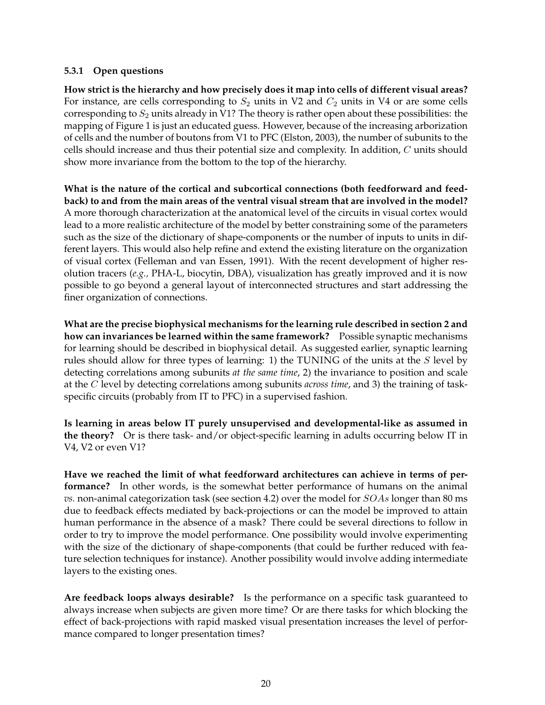### **5.3.1 Open questions**

**How strict is the hierarchy and how precisely does it map into cells of different visual areas?** For instance, are cells corresponding to  $S_2$  units in V2 and  $C_2$  units in V4 or are some cells corresponding to  $S_2$  units already in V1? The theory is rather open about these possibilities: the mapping of Figure 1 is just an educated guess. However, because of the increasing arborization of cells and the number of boutons from V1 to PFC (Elston, 2003), the number of subunits to the cells should increase and thus their potential size and complexity. In addition, C units should show more invariance from the bottom to the top of the hierarchy.

**What is the nature of the cortical and subcortical connections (both feedforward and feedback) to and from the main areas of the ventral visual stream that are involved in the model?** A more thorough characterization at the anatomical level of the circuits in visual cortex would lead to a more realistic architecture of the model by better constraining some of the parameters such as the size of the dictionary of shape-components or the number of inputs to units in different layers. This would also help refine and extend the existing literature on the organization of visual cortex (Felleman and van Essen, 1991). With the recent development of higher resolution tracers (*e.g.,* PHA-L, biocytin, DBA), visualization has greatly improved and it is now possible to go beyond a general layout of interconnected structures and start addressing the finer organization of connections.

**What are the precise biophysical mechanisms for the learning rule described in section 2 and how can invariances be learned within the same framework?** Possible synaptic mechanisms for learning should be described in biophysical detail. As suggested earlier, synaptic learning rules should allow for three types of learning: 1) the TUNING of the units at the  $S$  level by detecting correlations among subunits *at the same time*, 2) the invariance to position and scale at the C level by detecting correlations among subunits *across time*, and 3) the training of taskspecific circuits (probably from IT to PFC) in a supervised fashion.

**Is learning in areas below IT purely unsupervised and developmental-like as assumed in the theory?** Or is there task- and/or object-specific learning in adults occurring below IT in V4, V2 or even V1?

**Have we reached the limit of what feedforward architectures can achieve in terms of performance?** In other words, is the somewhat better performance of humans on the animal *vs.* non-animal categorization task (see section 4.2) over the model for SOAs longer than 80 ms due to feedback effects mediated by back-projections or can the model be improved to attain human performance in the absence of a mask? There could be several directions to follow in order to try to improve the model performance. One possibility would involve experimenting with the size of the dictionary of shape-components (that could be further reduced with feature selection techniques for instance). Another possibility would involve adding intermediate layers to the existing ones.

**Are feedback loops always desirable?** Is the performance on a specific task guaranteed to always increase when subjects are given more time? Or are there tasks for which blocking the effect of back-projections with rapid masked visual presentation increases the level of performance compared to longer presentation times?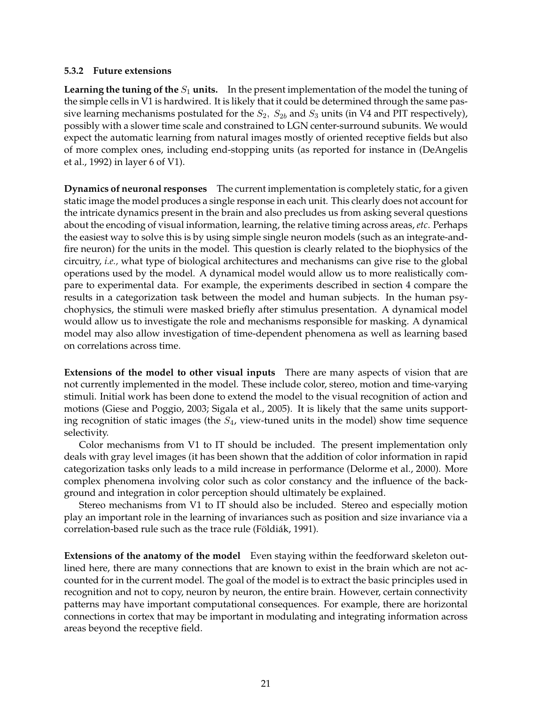#### **5.3.2 Future extensions**

**Learning the tuning of the**  $S_1$  **units.** In the present implementation of the model the tuning of the simple cells in V1 is hardwired. It is likely that it could be determined through the same passive learning mechanisms postulated for the  $S_2$ ,  $S_{2b}$  and  $S_3$  units (in V4 and PIT respectively), possibly with a slower time scale and constrained to LGN center-surround subunits. We would expect the automatic learning from natural images mostly of oriented receptive fields but also of more complex ones, including end-stopping units (as reported for instance in (DeAngelis et al., 1992) in layer 6 of V1).

**Dynamics of neuronal responses** The current implementation is completely static, for a given static image the model produces a single response in each unit. This clearly does not account for the intricate dynamics present in the brain and also precludes us from asking several questions about the encoding of visual information, learning, the relative timing across areas, *etc*. Perhaps the easiest way to solve this is by using simple single neuron models (such as an integrate-andfire neuron) for the units in the model. This question is clearly related to the biophysics of the circuitry, *i.e.,* what type of biological architectures and mechanisms can give rise to the global operations used by the model. A dynamical model would allow us to more realistically compare to experimental data. For example, the experiments described in section 4 compare the results in a categorization task between the model and human subjects. In the human psychophysics, the stimuli were masked briefly after stimulus presentation. A dynamical model would allow us to investigate the role and mechanisms responsible for masking. A dynamical model may also allow investigation of time-dependent phenomena as well as learning based on correlations across time.

**Extensions of the model to other visual inputs** There are many aspects of vision that are not currently implemented in the model. These include color, stereo, motion and time-varying stimuli. Initial work has been done to extend the model to the visual recognition of action and motions (Giese and Poggio, 2003; Sigala et al., 2005). It is likely that the same units supporting recognition of static images (the  $S<sub>4</sub>$ , view-tuned units in the model) show time sequence selectivity.

Color mechanisms from V1 to IT should be included. The present implementation only deals with gray level images (it has been shown that the addition of color information in rapid categorization tasks only leads to a mild increase in performance (Delorme et al., 2000). More complex phenomena involving color such as color constancy and the influence of the background and integration in color perception should ultimately be explained.

Stereo mechanisms from V1 to IT should also be included. Stereo and especially motion play an important role in the learning of invariances such as position and size invariance via a correlation-based rule such as the trace rule (Földiák, 1991).

**Extensions of the anatomy of the model** Even staying within the feedforward skeleton outlined here, there are many connections that are known to exist in the brain which are not accounted for in the current model. The goal of the model is to extract the basic principles used in recognition and not to copy, neuron by neuron, the entire brain. However, certain connectivity patterns may have important computational consequences. For example, there are horizontal connections in cortex that may be important in modulating and integrating information across areas beyond the receptive field.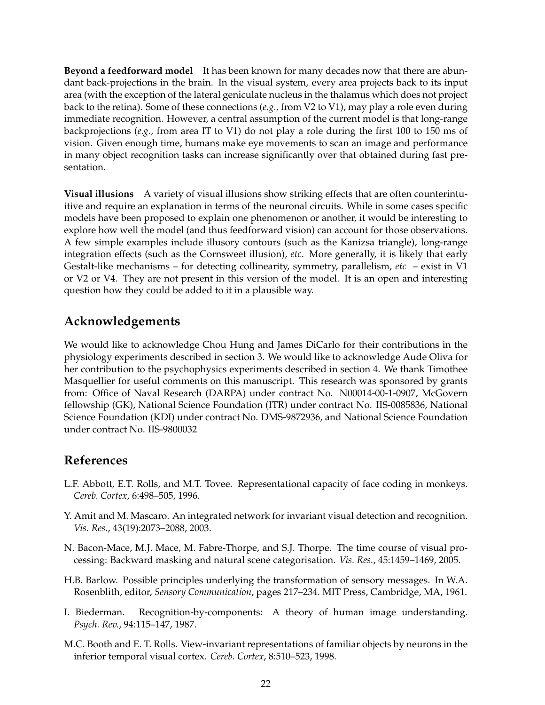**Beyond a feedforward model** It has been known for many decades now that there are abundant back-projections in the brain. In the visual system, every area projects back to its input area (with the exception of the lateral geniculate nucleus in the thalamus which does not project back to the retina). Some of these connections (*e.g.,* from V2 to V1), may play a role even during immediate recognition. However, a central assumption of the current model is that long-range backprojections (*e.g.,* from area IT to V1) do not play a role during the first 100 to 150 ms of vision. Given enough time, humans make eye movements to scan an image and performance in many object recognition tasks can increase significantly over that obtained during fast presentation.

**Visual illusions** A variety of visual illusions show striking effects that are often counterintuitive and require an explanation in terms of the neuronal circuits. While in some cases specific models have been proposed to explain one phenomenon or another, it would be interesting to explore how well the model (and thus feedforward vision) can account for those observations. A few simple examples include illusory contours (such as the Kanizsa triangle), long-range integration effects (such as the Cornsweet illusion), *etc*. More generally, it is likely that early Gestalt-like mechanisms – for detecting collinearity, symmetry, parallelism, *etc* – exist in V1 or V2 or V4. They are not present in this version of the model. It is an open and interesting question how they could be added to it in a plausible way.

# **Acknowledgements**

We would like to acknowledge Chou Hung and James DiCarlo for their contributions in the physiology experiments described in section 3. We would like to acknowledge Aude Oliva for her contribution to the psychophysics experiments described in section 4. We thank Timothee Masquellier for useful comments on this manuscript. This research was sponsored by grants from: Office of Naval Research (DARPA) under contract No. N00014-00-1-0907, McGovern fellowship (GK), National Science Foundation (ITR) under contract No. IIS-0085836, National Science Foundation (KDI) under contract No. DMS-9872936, and National Science Foundation under contract No. IIS-9800032

## **References**

- L.F. Abbott, E.T. Rolls, and M.T. Tovee. Representational capacity of face coding in monkeys. *Cereb. Cortex*, 6:498–505, 1996.
- Y. Amit and M. Mascaro. An integrated network for invariant visual detection and recognition. *Vis. Res.*, 43(19):2073–2088, 2003.
- N. Bacon-Mace, M.J. Mace, M. Fabre-Thorpe, and S.J. Thorpe. The time course of visual processing: Backward masking and natural scene categorisation. *Vis. Res.*, 45:1459–1469, 2005.
- H.B. Barlow. Possible principles underlying the transformation of sensory messages. In W.A. Rosenblith, editor, *Sensory Communication*, pages 217–234. MIT Press, Cambridge, MA, 1961.
- I. Biederman. Recognition-by-components: A theory of human image understanding. *Psych. Rev.*, 94:115–147, 1987.
- M.C. Booth and E. T. Rolls. View-invariant representations of familiar objects by neurons in the inferior temporal visual cortex. *Cereb. Cortex*, 8:510–523, 1998.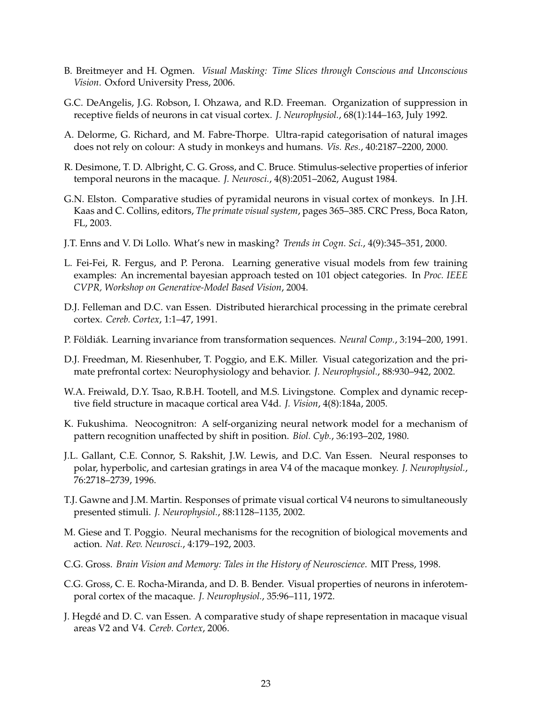- B. Breitmeyer and H. Ogmen. *Visual Masking: Time Slices through Conscious and Unconscious Vision*. Oxford University Press, 2006.
- G.C. DeAngelis, J.G. Robson, I. Ohzawa, and R.D. Freeman. Organization of suppression in receptive fields of neurons in cat visual cortex. *J. Neurophysiol.*, 68(1):144–163, July 1992.
- A. Delorme, G. Richard, and M. Fabre-Thorpe. Ultra-rapid categorisation of natural images does not rely on colour: A study in monkeys and humans. *Vis. Res.*, 40:2187–2200, 2000.
- R. Desimone, T. D. Albright, C. G. Gross, and C. Bruce. Stimulus-selective properties of inferior temporal neurons in the macaque. *J. Neurosci.*, 4(8):2051–2062, August 1984.
- G.N. Elston. Comparative studies of pyramidal neurons in visual cortex of monkeys. In J.H. Kaas and C. Collins, editors, *The primate visual system*, pages 365–385. CRC Press, Boca Raton, FL, 2003.
- J.T. Enns and V. Di Lollo. What's new in masking? *Trends in Cogn. Sci.*, 4(9):345–351, 2000.
- L. Fei-Fei, R. Fergus, and P. Perona. Learning generative visual models from few training examples: An incremental bayesian approach tested on 101 object categories. In *Proc. IEEE CVPR, Workshop on Generative-Model Based Vision*, 2004.
- D.J. Felleman and D.C. van Essen. Distributed hierarchical processing in the primate cerebral cortex. *Cereb. Cortex*, 1:1–47, 1991.
- P. Földiák. Learning invariance from transformation sequences. *Neural Comp.*, 3:194–200, 1991.
- D.J. Freedman, M. Riesenhuber, T. Poggio, and E.K. Miller. Visual categorization and the primate prefrontal cortex: Neurophysiology and behavior. *J. Neurophysiol.*, 88:930–942, 2002.
- W.A. Freiwald, D.Y. Tsao, R.B.H. Tootell, and M.S. Livingstone. Complex and dynamic receptive field structure in macaque cortical area V4d. *J. Vision*, 4(8):184a, 2005.
- K. Fukushima. Neocognitron: A self-organizing neural network model for a mechanism of pattern recognition unaffected by shift in position. *Biol. Cyb.*, 36:193–202, 1980.
- J.L. Gallant, C.E. Connor, S. Rakshit, J.W. Lewis, and D.C. Van Essen. Neural responses to polar, hyperbolic, and cartesian gratings in area V4 of the macaque monkey. *J. Neurophysiol.*, 76:2718–2739, 1996.
- T.J. Gawne and J.M. Martin. Responses of primate visual cortical V4 neurons to simultaneously presented stimuli. *J. Neurophysiol.*, 88:1128–1135, 2002.
- M. Giese and T. Poggio. Neural mechanisms for the recognition of biological movements and action. *Nat. Rev. Neurosci.*, 4:179–192, 2003.
- C.G. Gross. *Brain Vision and Memory: Tales in the History of Neuroscience*. MIT Press, 1998.
- C.G. Gross, C. E. Rocha-Miranda, and D. B. Bender. Visual properties of neurons in inferotemporal cortex of the macaque. *J. Neurophysiol.*, 35:96–111, 1972.
- J. Hegdé and D. C. van Essen. A comparative study of shape representation in macaque visual areas V2 and V4. *Cereb. Cortex*, 2006.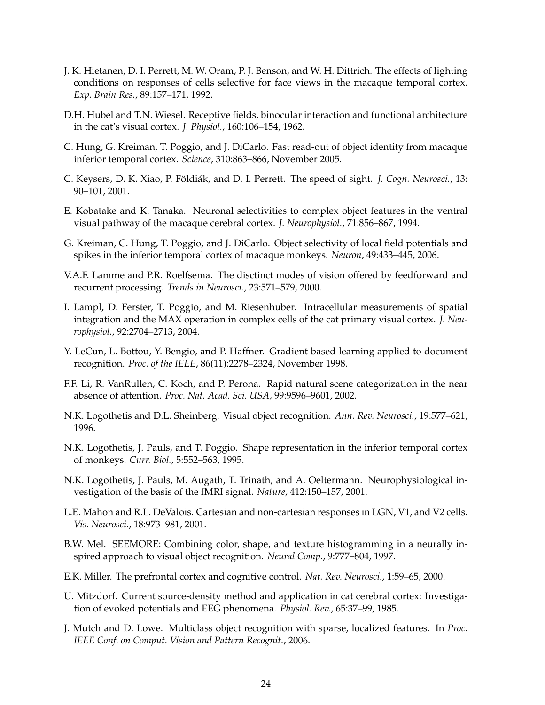- J. K. Hietanen, D. I. Perrett, M. W. Oram, P. J. Benson, and W. H. Dittrich. The effects of lighting conditions on responses of cells selective for face views in the macaque temporal cortex. *Exp. Brain Res.*, 89:157–171, 1992.
- D.H. Hubel and T.N. Wiesel. Receptive fields, binocular interaction and functional architecture in the cat's visual cortex. *J. Physiol.*, 160:106–154, 1962.
- C. Hung, G. Kreiman, T. Poggio, and J. DiCarlo. Fast read-out of object identity from macaque inferior temporal cortex. *Science*, 310:863–866, November 2005.
- C. Keysers, D. K. Xiao, P. Földiák, and D. I. Perrett. The speed of sight. *J. Cogn. Neurosci.*, 13: 90–101, 2001.
- E. Kobatake and K. Tanaka. Neuronal selectivities to complex object features in the ventral visual pathway of the macaque cerebral cortex. *J. Neurophysiol.*, 71:856–867, 1994.
- G. Kreiman, C. Hung, T. Poggio, and J. DiCarlo. Object selectivity of local field potentials and spikes in the inferior temporal cortex of macaque monkeys. *Neuron*, 49:433–445, 2006.
- V.A.F. Lamme and P.R. Roelfsema. The disctinct modes of vision offered by feedforward and recurrent processing. *Trends in Neurosci.*, 23:571–579, 2000.
- I. Lampl, D. Ferster, T. Poggio, and M. Riesenhuber. Intracellular measurements of spatial integration and the MAX operation in complex cells of the cat primary visual cortex. *J. Neurophysiol.*, 92:2704–2713, 2004.
- Y. LeCun, L. Bottou, Y. Bengio, and P. Haffner. Gradient-based learning applied to document recognition. *Proc. of the IEEE*, 86(11):2278–2324, November 1998.
- F.F. Li, R. VanRullen, C. Koch, and P. Perona. Rapid natural scene categorization in the near absence of attention. *Proc. Nat. Acad. Sci. USA*, 99:9596–9601, 2002.
- N.K. Logothetis and D.L. Sheinberg. Visual object recognition. *Ann. Rev. Neurosci.*, 19:577–621, 1996.
- N.K. Logothetis, J. Pauls, and T. Poggio. Shape representation in the inferior temporal cortex of monkeys. *Curr. Biol.*, 5:552–563, 1995.
- N.K. Logothetis, J. Pauls, M. Augath, T. Trinath, and A. Oeltermann. Neurophysiological investigation of the basis of the fMRI signal. *Nature*, 412:150–157, 2001.
- L.E. Mahon and R.L. DeValois. Cartesian and non-cartesian responses in LGN, V1, and V2 cells. *Vis. Neurosci.*, 18:973–981, 2001.
- B.W. Mel. SEEMORE: Combining color, shape, and texture histogramming in a neurally inspired approach to visual object recognition. *Neural Comp.*, 9:777–804, 1997.
- E.K. Miller. The prefrontal cortex and cognitive control. *Nat. Rev. Neurosci.*, 1:59–65, 2000.
- U. Mitzdorf. Current source-density method and application in cat cerebral cortex: Investigation of evoked potentials and EEG phenomena. *Physiol. Rev.*, 65:37–99, 1985.
- J. Mutch and D. Lowe. Multiclass object recognition with sparse, localized features. In *Proc. IEEE Conf. on Comput. Vision and Pattern Recognit.*, 2006.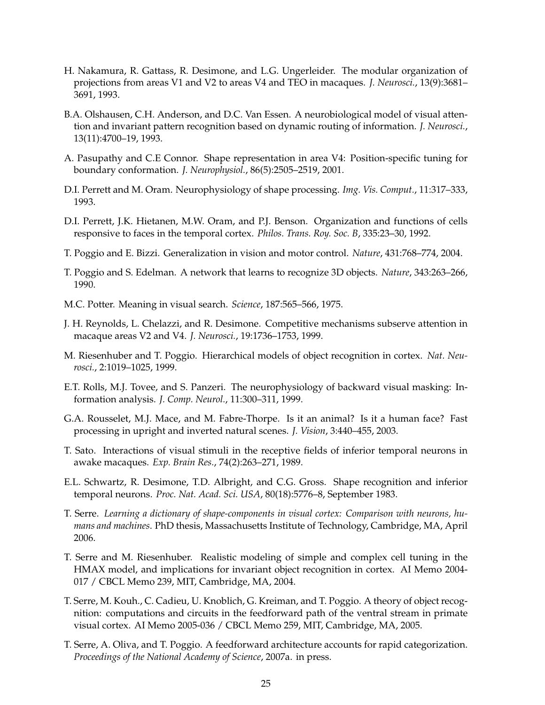- H. Nakamura, R. Gattass, R. Desimone, and L.G. Ungerleider. The modular organization of projections from areas V1 and V2 to areas V4 and TEO in macaques. *J. Neurosci.*, 13(9):3681– 3691, 1993.
- B.A. Olshausen, C.H. Anderson, and D.C. Van Essen. A neurobiological model of visual attention and invariant pattern recognition based on dynamic routing of information. *J. Neurosci.*, 13(11):4700–19, 1993.
- A. Pasupathy and C.E Connor. Shape representation in area V4: Position-specific tuning for boundary conformation. *J. Neurophysiol.*, 86(5):2505–2519, 2001.
- D.I. Perrett and M. Oram. Neurophysiology of shape processing. *Img. Vis. Comput.*, 11:317–333, 1993.
- D.I. Perrett, J.K. Hietanen, M.W. Oram, and P.J. Benson. Organization and functions of cells responsive to faces in the temporal cortex. *Philos. Trans. Roy. Soc. B*, 335:23–30, 1992.
- T. Poggio and E. Bizzi. Generalization in vision and motor control. *Nature*, 431:768–774, 2004.
- T. Poggio and S. Edelman. A network that learns to recognize 3D objects. *Nature*, 343:263–266, 1990.
- M.C. Potter. Meaning in visual search. *Science*, 187:565–566, 1975.
- J. H. Reynolds, L. Chelazzi, and R. Desimone. Competitive mechanisms subserve attention in macaque areas V2 and V4. *J. Neurosci.*, 19:1736–1753, 1999.
- M. Riesenhuber and T. Poggio. Hierarchical models of object recognition in cortex. *Nat. Neurosci.*, 2:1019–1025, 1999.
- E.T. Rolls, M.J. Tovee, and S. Panzeri. The neurophysiology of backward visual masking: Information analysis. *J. Comp. Neurol.*, 11:300–311, 1999.
- G.A. Rousselet, M.J. Mace, and M. Fabre-Thorpe. Is it an animal? Is it a human face? Fast processing in upright and inverted natural scenes. *J. Vision*, 3:440–455, 2003.
- T. Sato. Interactions of visual stimuli in the receptive fields of inferior temporal neurons in awake macaques. *Exp. Brain Res.*, 74(2):263–271, 1989.
- E.L. Schwartz, R. Desimone, T.D. Albright, and C.G. Gross. Shape recognition and inferior temporal neurons. *Proc. Nat. Acad. Sci. USA*, 80(18):5776–8, September 1983.
- T. Serre. *Learning a dictionary of shape-components in visual cortex: Comparison with neurons, humans and machines*. PhD thesis, Massachusetts Institute of Technology, Cambridge, MA, April 2006.
- T. Serre and M. Riesenhuber. Realistic modeling of simple and complex cell tuning in the HMAX model, and implications for invariant object recognition in cortex. AI Memo 2004- 017 / CBCL Memo 239, MIT, Cambridge, MA, 2004.
- T. Serre, M. Kouh., C. Cadieu, U. Knoblich, G. Kreiman, and T. Poggio. A theory of object recognition: computations and circuits in the feedforward path of the ventral stream in primate visual cortex. AI Memo 2005-036 / CBCL Memo 259, MIT, Cambridge, MA, 2005.
- T. Serre, A. Oliva, and T. Poggio. A feedforward architecture accounts for rapid categorization. *Proceedings of the National Academy of Science*, 2007a. in press.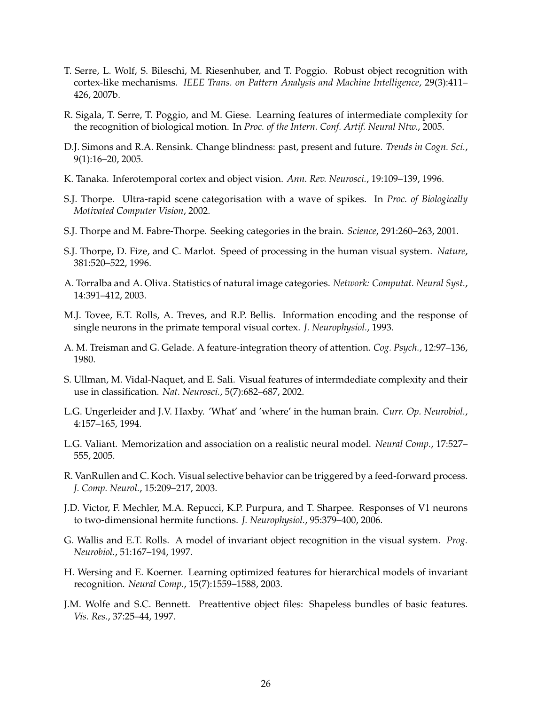- T. Serre, L. Wolf, S. Bileschi, M. Riesenhuber, and T. Poggio. Robust object recognition with cortex-like mechanisms. *IEEE Trans. on Pattern Analysis and Machine Intelligence*, 29(3):411– 426, 2007b.
- R. Sigala, T. Serre, T. Poggio, and M. Giese. Learning features of intermediate complexity for the recognition of biological motion. In *Proc. of the Intern. Conf. Artif. Neural Ntw.*, 2005.
- D.J. Simons and R.A. Rensink. Change blindness: past, present and future. *Trends in Cogn. Sci.*, 9(1):16–20, 2005.
- K. Tanaka. Inferotemporal cortex and object vision. *Ann. Rev. Neurosci.*, 19:109–139, 1996.
- S.J. Thorpe. Ultra-rapid scene categorisation with a wave of spikes. In *Proc. of Biologically Motivated Computer Vision*, 2002.
- S.J. Thorpe and M. Fabre-Thorpe. Seeking categories in the brain. *Science*, 291:260–263, 2001.
- S.J. Thorpe, D. Fize, and C. Marlot. Speed of processing in the human visual system. *Nature*, 381:520–522, 1996.
- A. Torralba and A. Oliva. Statistics of natural image categories. *Network: Computat. Neural Syst.*, 14:391–412, 2003.
- M.J. Tovee, E.T. Rolls, A. Treves, and R.P. Bellis. Information encoding and the response of single neurons in the primate temporal visual cortex. *J. Neurophysiol.*, 1993.
- A. M. Treisman and G. Gelade. A feature-integration theory of attention. *Cog. Psych.*, 12:97–136, 1980.
- S. Ullman, M. Vidal-Naquet, and E. Sali. Visual features of intermdediate complexity and their use in classification. *Nat. Neurosci.*, 5(7):682–687, 2002.
- L.G. Ungerleider and J.V. Haxby. 'What' and 'where' in the human brain. *Curr. Op. Neurobiol.*, 4:157–165, 1994.
- L.G. Valiant. Memorization and association on a realistic neural model. *Neural Comp.*, 17:527– 555, 2005.
- R. VanRullen and C. Koch. Visual selective behavior can be triggered by a feed-forward process. *J. Comp. Neurol.*, 15:209–217, 2003.
- J.D. Victor, F. Mechler, M.A. Repucci, K.P. Purpura, and T. Sharpee. Responses of V1 neurons to two-dimensional hermite functions. *J. Neurophysiol.*, 95:379–400, 2006.
- G. Wallis and E.T. Rolls. A model of invariant object recognition in the visual system. *Prog. Neurobiol.*, 51:167–194, 1997.
- H. Wersing and E. Koerner. Learning optimized features for hierarchical models of invariant recognition. *Neural Comp.*, 15(7):1559–1588, 2003.
- J.M. Wolfe and S.C. Bennett. Preattentive object files: Shapeless bundles of basic features. *Vis. Res.*, 37:25–44, 1997.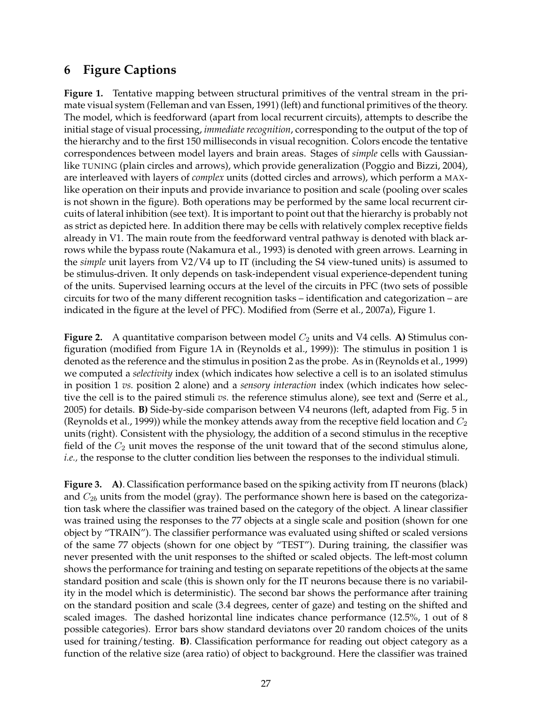# **6 Figure Captions**

**Figure 1.** Tentative mapping between structural primitives of the ventral stream in the primate visual system (Felleman and van Essen, 1991) (left) and functional primitives of the theory. The model, which is feedforward (apart from local recurrent circuits), attempts to describe the initial stage of visual processing, *immediate recognition*, corresponding to the output of the top of the hierarchy and to the first 150 milliseconds in visual recognition. Colors encode the tentative correspondences between model layers and brain areas. Stages of *simple* cells with Gaussianlike TUNING (plain circles and arrows), which provide generalization (Poggio and Bizzi, 2004), are interleaved with layers of *complex* units (dotted circles and arrows), which perform a MAXlike operation on their inputs and provide invariance to position and scale (pooling over scales is not shown in the figure). Both operations may be performed by the same local recurrent circuits of lateral inhibition (see text). It is important to point out that the hierarchy is probably not as strict as depicted here. In addition there may be cells with relatively complex receptive fields already in V1. The main route from the feedforward ventral pathway is denoted with black arrows while the bypass route (Nakamura et al., 1993) is denoted with green arrows. Learning in the *simple* unit layers from V2/V4 up to IT (including the S4 view-tuned units) is assumed to be stimulus-driven. It only depends on task-independent visual experience-dependent tuning of the units. Supervised learning occurs at the level of the circuits in PFC (two sets of possible circuits for two of the many different recognition tasks – identification and categorization – are indicated in the figure at the level of PFC). Modified from (Serre et al., 2007a), Figure 1.

**Figure 2.** A quantitative comparison between model  $C_2$  units and V4 cells. A) Stimulus configuration (modified from Figure 1A in (Reynolds et al., 1999)): The stimulus in position 1 is denoted as the reference and the stimulus in position 2 as the probe. As in (Reynolds et al., 1999) we computed a *selectivity* index (which indicates how selective a cell is to an isolated stimulus in position 1 *vs.* position 2 alone) and a *sensory interaction* index (which indicates how selective the cell is to the paired stimuli *vs.* the reference stimulus alone), see text and (Serre et al., 2005) for details. **B)** Side-by-side comparison between V4 neurons (left, adapted from Fig. 5 in (Reynolds et al., 1999)) while the monkey attends away from the receptive field location and  $C_2$ units (right). Consistent with the physiology, the addition of a second stimulus in the receptive field of the  $C_2$  unit moves the response of the unit toward that of the second stimulus alone, *i.e.*, the response to the clutter condition lies between the responses to the individual stimuli.

**Figure 3. A)**. Classification performance based on the spiking activity from IT neurons (black) and  $C_{2b}$  units from the model (gray). The performance shown here is based on the categorization task where the classifier was trained based on the category of the object. A linear classifier was trained using the responses to the 77 objects at a single scale and position (shown for one object by "TRAIN"). The classifier performance was evaluated using shifted or scaled versions of the same 77 objects (shown for one object by "TEST"). During training, the classifier was never presented with the unit responses to the shifted or scaled objects. The left-most column shows the performance for training and testing on separate repetitions of the objects at the same standard position and scale (this is shown only for the IT neurons because there is no variability in the model which is deterministic). The second bar shows the performance after training on the standard position and scale (3.4 degrees, center of gaze) and testing on the shifted and scaled images. The dashed horizontal line indicates chance performance (12.5%, 1 out of 8 possible categories). Error bars show standard deviatons over 20 random choices of the units used for training/testing. **B)**. Classification performance for reading out object category as a function of the relative size (area ratio) of object to background. Here the classifier was trained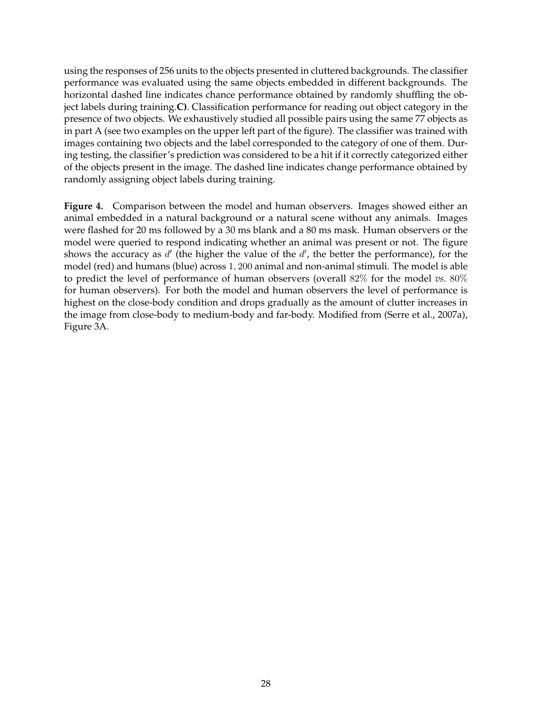using the responses of 256 units to the objects presented in cluttered backgrounds. The classifier performance was evaluated using the same objects embedded in different backgrounds. The horizontal dashed line indicates chance performance obtained by randomly shuffling the object labels during training.**C)**. Classification performance for reading out object category in the presence of two objects. We exhaustively studied all possible pairs using the same 77 objects as in part A (see two examples on the upper left part of the figure). The classifier was trained with images containing two objects and the label corresponded to the category of one of them. During testing, the classifier's prediction was considered to be a hit if it correctly categorized either of the objects present in the image. The dashed line indicates change performance obtained by randomly assigning object labels during training.

**Figure 4.** Comparison between the model and human observers. Images showed either an animal embedded in a natural background or a natural scene without any animals. Images were flashed for 20 ms followed by a 30 ms blank and a 80 ms mask. Human observers or the model were queried to respond indicating whether an animal was present or not. The figure shows the accuracy as  $d'$  (the higher the value of the  $d'$ , the better the performance), for the model (red) and humans (blue) across 1, 200 animal and non-animal stimuli. The model is able to predict the level of performance of human observers (overall 82% for the model *vs.* 80% for human observers). For both the model and human observers the level of performance is highest on the close-body condition and drops gradually as the amount of clutter increases in the image from close-body to medium-body and far-body. Modified from (Serre et al., 2007a), Figure 3A.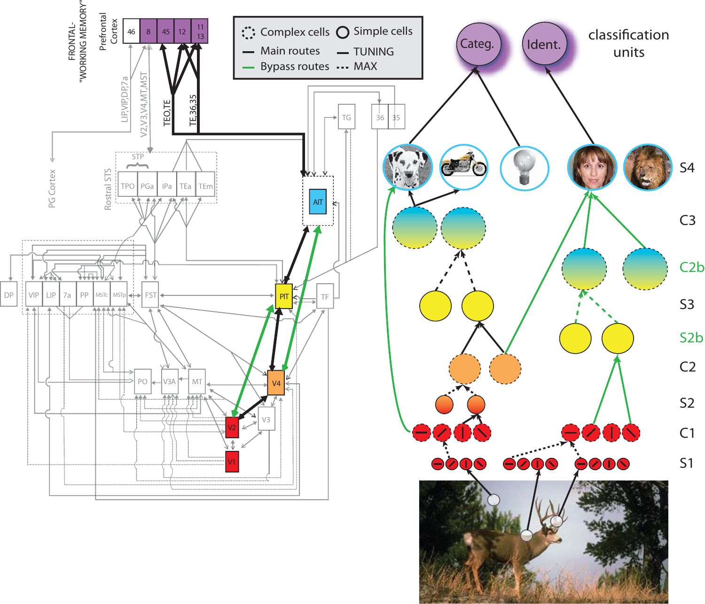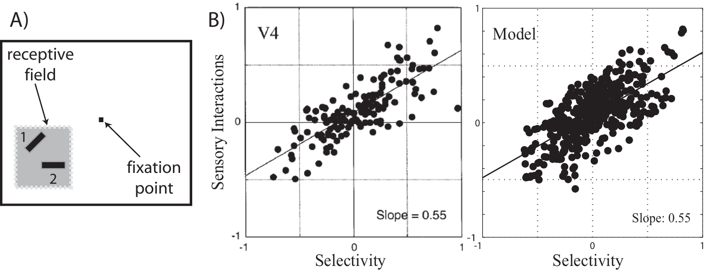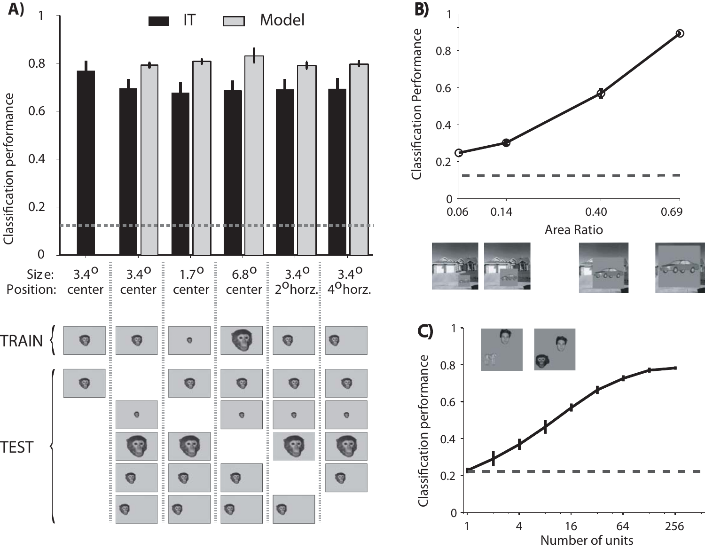